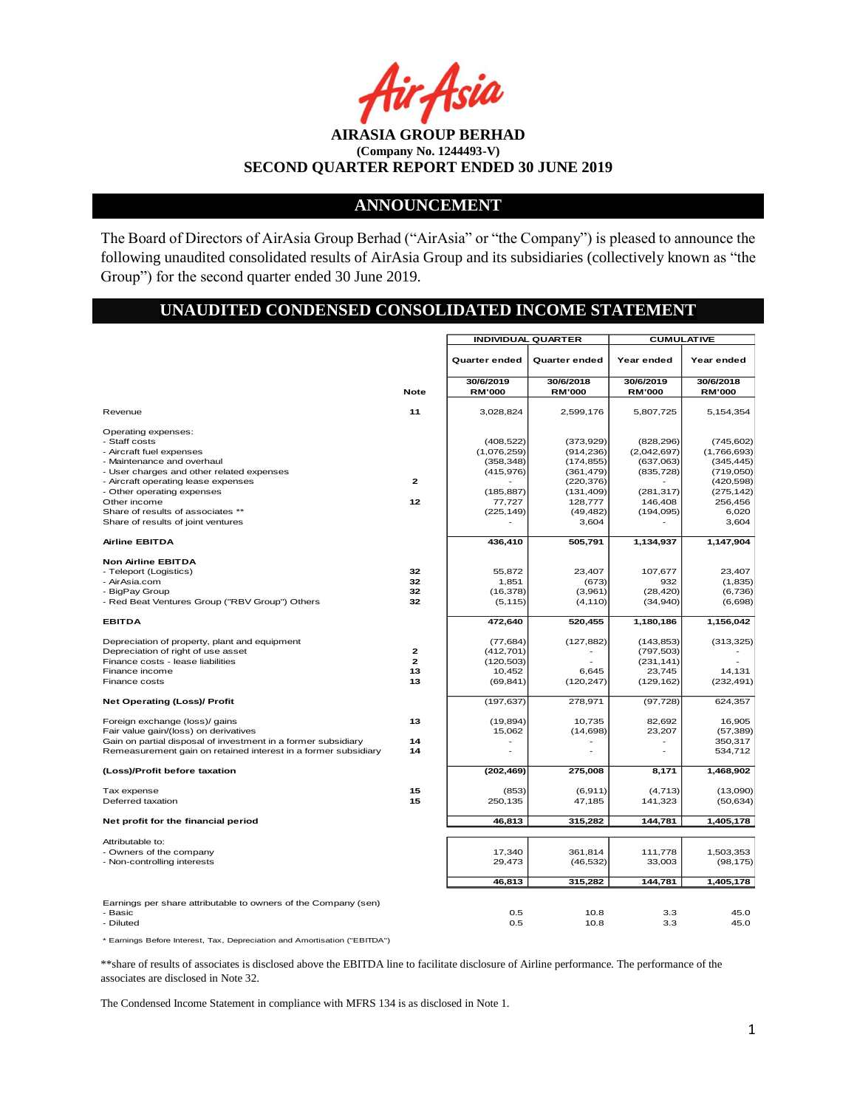Asia

**AIRASIA GROUP BERHAD (Company No. 1244493-V) SECOND QUARTER REPORT ENDED 30 JUNE 2019**

#### **ANNOUNCEMENT**

The Board of Directors of AirAsia Group Berhad ("AirAsia" or "the Company") is pleased to announce the following unaudited consolidated results of AirAsia Group and its subsidiaries (collectively known as "the Group") for the second quarter ended 30 June 2019.

# **UNAUDITED CONDENSED CONSOLIDATED INCOME STATEMENT**

|                                                                                                                                                                                                                  |                                 | <b>INDIVIDUAL QUARTER</b>                                           |                                                                                 | <b>CUMULATIVE</b>                                                  |                                                                                  |  |
|------------------------------------------------------------------------------------------------------------------------------------------------------------------------------------------------------------------|---------------------------------|---------------------------------------------------------------------|---------------------------------------------------------------------------------|--------------------------------------------------------------------|----------------------------------------------------------------------------------|--|
|                                                                                                                                                                                                                  |                                 | Quarter ended                                                       | Quarter ended                                                                   | Year ended                                                         | Year ended                                                                       |  |
|                                                                                                                                                                                                                  | <b>Note</b>                     | 30/6/2019<br><b>RM'000</b>                                          | 30/6/2018<br><b>RM'000</b>                                                      | 30/6/2019<br><b>RM'000</b>                                         | 30/6/2018<br><b>RM'000</b>                                                       |  |
| Revenue                                                                                                                                                                                                          | 11                              | 3,028,824                                                           | 2,599,176                                                                       | 5,807,725                                                          | 5,154,354                                                                        |  |
| Operating expenses:<br>- Staff costs<br>- Aircraft fuel expenses<br>- Maintenance and overhaul<br>- User charges and other related expenses<br>- Aircraft operating lease expenses<br>- Other operating expenses | $\mathbf{z}$                    | (408, 522)<br>(1,076,259)<br>(358, 348)<br>(415, 976)<br>(185, 887) | (373,929)<br>(914, 236)<br>(174, 855)<br>(361, 479)<br>(220, 376)<br>(131, 409) | (828, 296)<br>(2,042,697)<br>(637,063)<br>(835, 728)<br>(281, 317) | (745, 602)<br>(1,766,693)<br>(345, 445)<br>(719,050)<br>(420, 598)<br>(275, 142) |  |
| Other income<br>Share of results of associates **<br>Share of results of joint ventures                                                                                                                          | 12                              | 77,727<br>(225, 149)                                                | 128,777<br>(49, 482)<br>3,604                                                   | 146,408<br>(194, 095)                                              | 256,456<br>6,020<br>3,604                                                        |  |
| <b>Airline EBITDA</b>                                                                                                                                                                                            |                                 | 436,410                                                             | 505,791                                                                         | 1,134,937                                                          | 1,147,904                                                                        |  |
| <b>Non Airline EBITDA</b><br>- Teleport (Logistics)<br>- AirAsia.com<br>- BigPay Group<br>- Red Beat Ventures Group ("RBV Group") Others                                                                         | 32<br>32<br>32<br>32            | 55.872<br>1,851<br>(16, 378)<br>(5, 115)                            | 23.407<br>(673)<br>(3,961)<br>(4, 110)                                          | 107.677<br>932<br>(28, 420)<br>(34, 940)                           | 23.407<br>(1,835)<br>(6,736)<br>(6,698)                                          |  |
| <b>EBITDA</b>                                                                                                                                                                                                    |                                 | 472,640                                                             | 520,455                                                                         | 1,180,186                                                          | 1,156,042                                                                        |  |
| Depreciation of property, plant and equipment<br>Depreciation of right of use asset<br>Finance costs - lease liabilities<br>Finance income<br>Finance costs                                                      | 2<br>$\overline{2}$<br>13<br>13 | (77, 684)<br>(412, 701)<br>(120, 503)<br>10,452<br>(69, 841)        | (127, 882)<br>6.645<br>(120, 247)                                               | (143, 853)<br>(797, 503)<br>(231, 141)<br>23,745<br>(129, 162)     | (313, 325)<br>14,131<br>(232, 491)                                               |  |
| <b>Net Operating (Loss)/ Profit</b>                                                                                                                                                                              |                                 | (197, 637)                                                          | 278,971                                                                         | (97, 728)                                                          | 624,357                                                                          |  |
| Foreign exchange (loss)/ gains<br>Fair value gain/(loss) on derivatives<br>Gain on partial disposal of investment in a former subsidiary<br>Remeasurement gain on retained interest in a former subsidiary       | 13<br>14<br>14                  | (19, 894)<br>15,062<br>$\sim$<br>۰                                  | 10,735<br>(14, 698)                                                             | 82,692<br>23,207<br>$\sim$<br>ä,                                   | 16,905<br>(57, 389)<br>350,317<br>534,712                                        |  |
| (Loss)/Profit before taxation                                                                                                                                                                                    |                                 | (202, 469)                                                          | 275,008                                                                         | 8,171                                                              | 1,468,902                                                                        |  |
| Tax expense<br>Deferred taxation                                                                                                                                                                                 | 15<br>15                        | (853)<br>250,135                                                    | (6, 911)<br>47,185                                                              | (4, 713)<br>141,323                                                | (13,090)<br>(50, 634)                                                            |  |
| Net profit for the financial period                                                                                                                                                                              |                                 | 46,813                                                              | 315,282                                                                         | 144,781                                                            | 1,405,178                                                                        |  |
| Attributable to:<br>- Owners of the company<br>- Non-controlling interests                                                                                                                                       |                                 | 17,340<br>29,473                                                    | 361,814<br>(46, 532)                                                            | 111,778<br>33,003                                                  | 1,503,353<br>(98, 175)                                                           |  |
|                                                                                                                                                                                                                  |                                 | 46,813                                                              | 315,282                                                                         | 144,781                                                            | 1,405,178                                                                        |  |
| Earnings per share attributable to owners of the Company (sen)<br>- Basic<br>- Diluted                                                                                                                           |                                 | 0.5<br>0.5                                                          | 10.8<br>10.8                                                                    | 3.3<br>3.3                                                         | 45.0<br>45.0                                                                     |  |

\* Earnings Before Interest, Tax, Depreciation and Amortisation ("EBITDA")

\*\*share of results of associates is disclosed above the EBITDA line to facilitate disclosure of Airline performance. The performance of the associates are disclosed in Note 32.

The Condensed Income Statement in compliance with MFRS 134 is as disclosed in Note 1.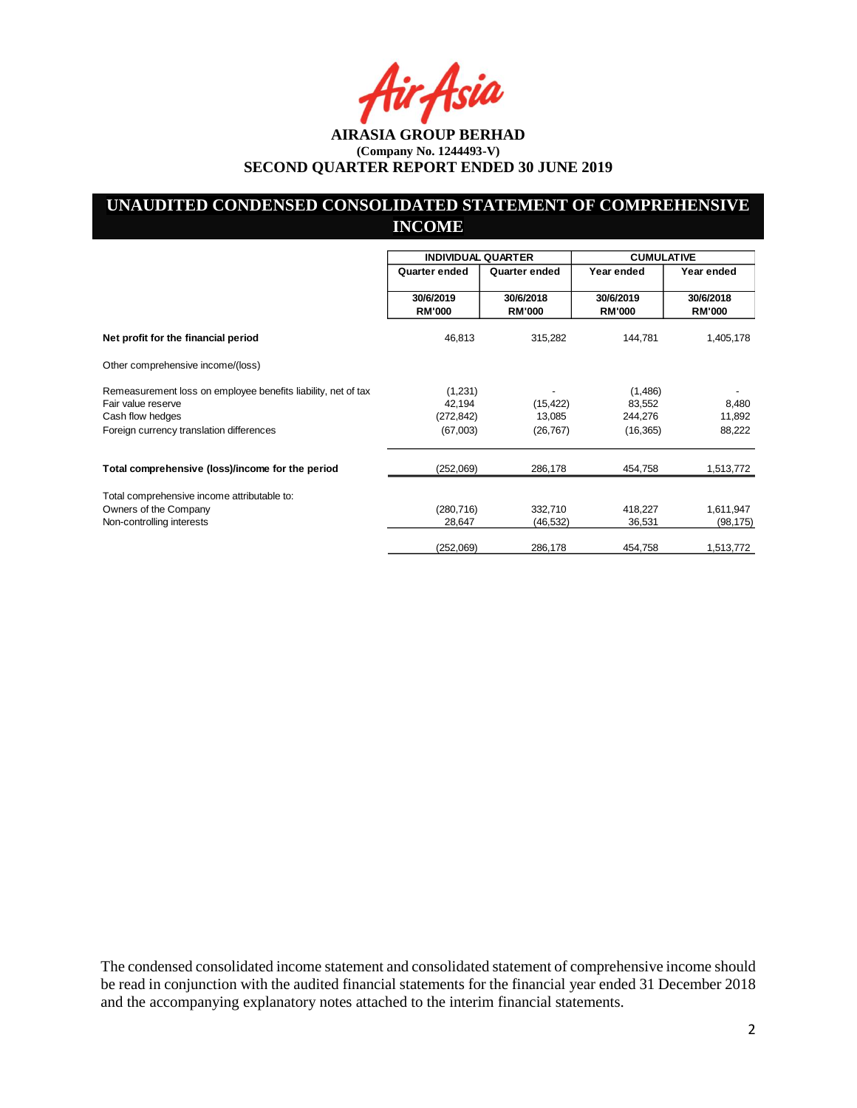Asia

# **UNAUDITED CONDENSED CONSOLIDATED STATEMENT OF COMPREHENSIVE INCOME**

|                                                                                     | <b>INDIVIDUAL QUARTER</b>  |                            | <b>CUMULATIVE</b>          |                            |
|-------------------------------------------------------------------------------------|----------------------------|----------------------------|----------------------------|----------------------------|
|                                                                                     | Quarter ended              | Quarter ended              | Year ended                 | Year ended                 |
|                                                                                     | 30/6/2019<br><b>RM'000</b> | 30/6/2018<br><b>RM'000</b> | 30/6/2019<br><b>RM'000</b> | 30/6/2018<br><b>RM'000</b> |
| Net profit for the financial period                                                 | 46,813                     | 315,282                    | 144,781                    | 1,405,178                  |
| Other comprehensive income/(loss)                                                   |                            |                            |                            |                            |
| Remeasurement loss on employee benefits liability, net of tax<br>Fair value reserve | (1,231)<br>42,194          | (15, 422)                  | (1,486)<br>83,552          | 8,480                      |
| Cash flow hedges                                                                    | (272, 842)                 | 13,085                     | 244,276                    | 11,892                     |
| Foreign currency translation differences                                            | (67,003)                   | (26, 767)                  | (16, 365)                  | 88,222                     |
| Total comprehensive (loss)/income for the period                                    | (252,069)                  | 286,178                    | 454,758                    | 1,513,772                  |
| Total comprehensive income attributable to:                                         |                            |                            |                            |                            |
| Owners of the Company                                                               | (280, 716)                 | 332,710                    | 418,227                    | 1,611,947                  |
| Non-controlling interests                                                           | 28,647                     | (46,532)                   | 36,531                     | (98, 175)                  |
|                                                                                     | (252,069)                  | 286,178                    | 454,758                    | 1,513,772                  |

The condensed consolidated income statement and consolidated statement of comprehensive income should be read in conjunction with the audited financial statements for the financial year ended 31 December 2018 and the accompanying explanatory notes attached to the interim financial statements.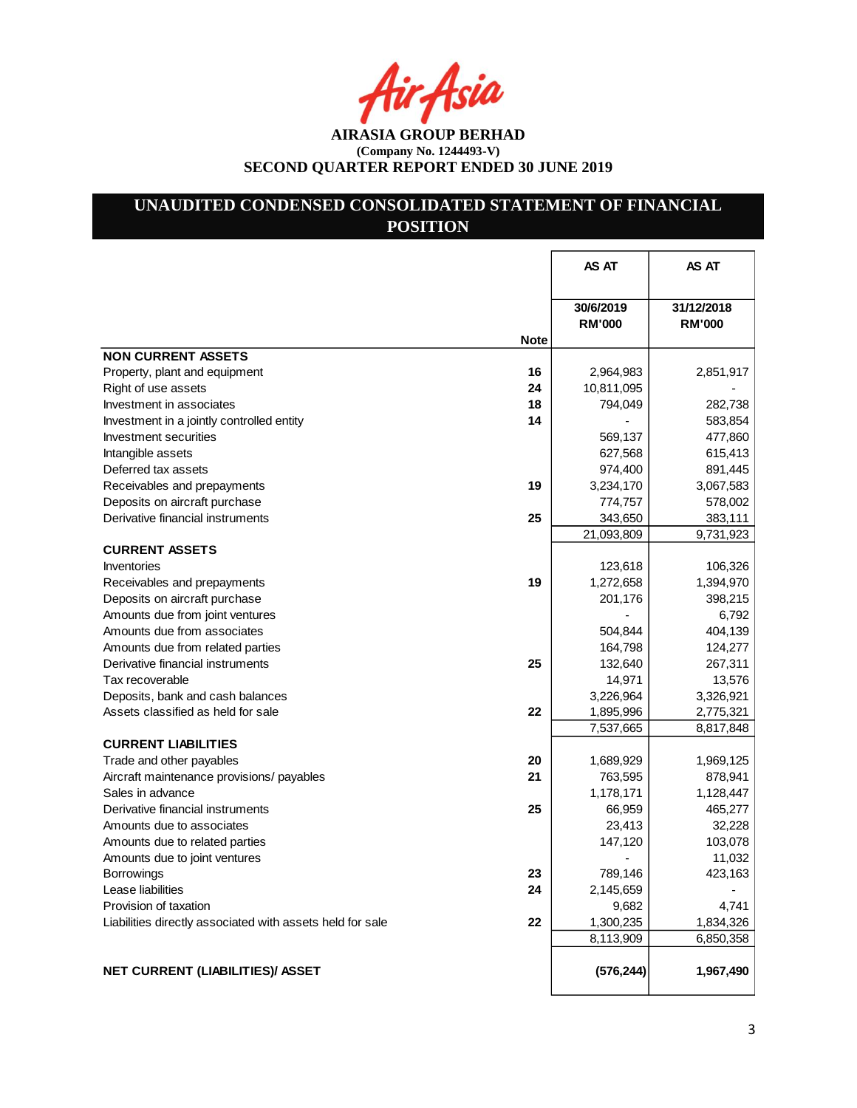r Asia

**AIRASIA GROUP BERHAD (Company No. 1244493-V) SECOND QUARTER REPORT ENDED 30 JUNE 2019**

# **UNAUDITED CONDENSED CONSOLIDATED STATEMENT OF FINANCIAL POSITION**

|                                                                 | AS AT                      | AS AT                       |
|-----------------------------------------------------------------|----------------------------|-----------------------------|
| <b>Note</b>                                                     | 30/6/2019<br><b>RM'000</b> | 31/12/2018<br><b>RM'000</b> |
| <b>NON CURRENT ASSETS</b>                                       |                            |                             |
| 16<br>Property, plant and equipment                             | 2,964,983                  | 2,851,917                   |
| Right of use assets<br>24                                       | 10,811,095                 |                             |
| Investment in associates<br>18                                  | 794,049                    | 282,738                     |
| 14<br>Investment in a jointly controlled entity                 |                            | 583,854                     |
| Investment securities                                           | 569,137                    | 477,860                     |
| Intangible assets                                               | 627,568                    | 615,413                     |
| Deferred tax assets                                             | 974,400                    | 891,445                     |
| 19<br>Receivables and prepayments                               | 3,234,170                  | 3,067,583                   |
| Deposits on aircraft purchase                                   | 774,757                    | 578,002                     |
| Derivative financial instruments<br>25                          | 343,650                    | 383,111                     |
|                                                                 | 21,093,809                 | 9,731,923                   |
| <b>CURRENT ASSETS</b>                                           |                            |                             |
| Inventories                                                     | 123,618                    | 106,326                     |
| 19<br>Receivables and prepayments                               | 1,272,658                  | 1,394,970                   |
| Deposits on aircraft purchase                                   | 201,176                    | 398,215                     |
| Amounts due from joint ventures                                 |                            | 6,792                       |
| Amounts due from associates                                     | 504,844                    | 404,139                     |
| Amounts due from related parties                                | 164,798                    | 124,277                     |
| Derivative financial instruments<br>25                          | 132,640                    | 267,311                     |
| Tax recoverable                                                 | 14,971                     | 13,576                      |
| Deposits, bank and cash balances                                | 3,226,964                  | 3,326,921                   |
| 22<br>Assets classified as held for sale                        | 1,895,996                  | 2,775,321                   |
|                                                                 | 7,537,665                  | 8,817,848                   |
| <b>CURRENT LIABILITIES</b>                                      |                            |                             |
| Trade and other payables<br>20                                  | 1,689,929                  | 1,969,125                   |
| 21<br>Aircraft maintenance provisions/ payables                 | 763,595                    | 878,941                     |
| Sales in advance                                                | 1,178,171                  | 1,128,447                   |
| 25<br>Derivative financial instruments                          | 66,959                     | 465,277                     |
| Amounts due to associates                                       | 23,413                     | 32,228                      |
| Amounts due to related parties                                  | 147,120                    | 103,078                     |
| Amounts due to joint ventures                                   |                            | 11,032                      |
| 23<br><b>Borrowings</b>                                         | 789,146                    | 423,163                     |
| Lease liabilities<br>24                                         | 2,145,659                  |                             |
| Provision of taxation                                           | 9,682                      | 4,741                       |
| 22<br>Liabilities directly associated with assets held for sale | 1,300,235                  | 1,834,326                   |
|                                                                 | 8,113,909                  | 6,850,358                   |
| NET CURRENT (LIABILITIES)/ ASSET                                | (576, 244)                 | 1,967,490                   |
|                                                                 |                            |                             |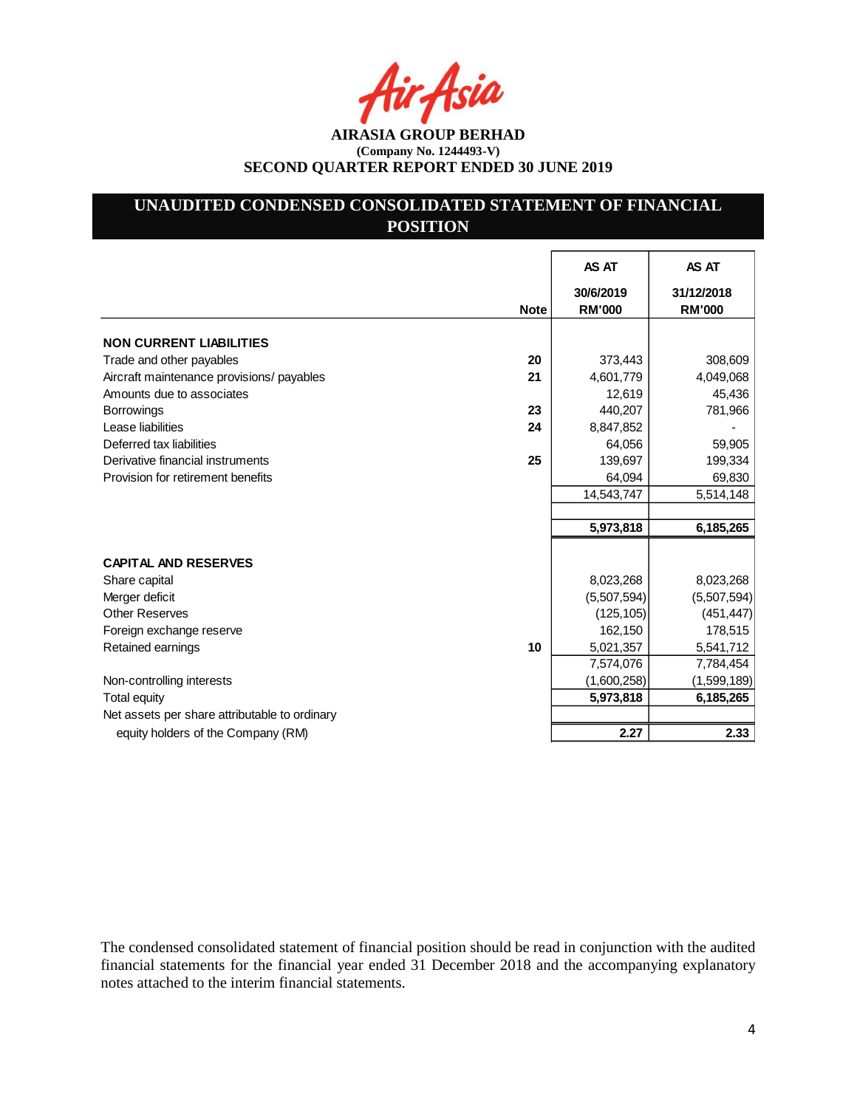Asia

**AIRASIA GROUP BERHAD (Company No. 1244493-V) SECOND QUARTER REPORT ENDED 30 JUNE 2019**

# **UNAUDITED CONDENSED CONSOLIDATED STATEMENT OF FINANCIAL POSITION**

|                                               |             | AS AT                      | AS AT                       |
|-----------------------------------------------|-------------|----------------------------|-----------------------------|
|                                               | <b>Note</b> | 30/6/2019<br><b>RM'000</b> | 31/12/2018<br><b>RM'000</b> |
| <b>NON CURRENT LIABILITIES</b>                |             |                            |                             |
| Trade and other payables                      | 20          | 373,443                    | 308,609                     |
| Aircraft maintenance provisions/ payables     | 21          | 4,601,779                  | 4,049,068                   |
| Amounts due to associates                     |             | 12,619                     | 45,436                      |
| <b>Borrowings</b>                             | 23          | 440,207                    | 781,966                     |
| Lease liabilities                             | 24          | 8,847,852                  |                             |
| Deferred tax liabilities                      |             | 64,056                     | 59,905                      |
| Derivative financial instruments              | 25          | 139,697                    | 199,334                     |
| Provision for retirement benefits             |             | 64,094                     | 69,830                      |
|                                               |             | 14,543,747                 | 5,514,148                   |
|                                               |             |                            |                             |
|                                               |             | 5,973,818                  | 6,185,265                   |
| <b>CAPITAL AND RESERVES</b>                   |             |                            |                             |
| Share capital                                 |             | 8,023,268                  | 8,023,268                   |
| Merger deficit                                |             | (5,507,594)                | (5,507,594)                 |
| <b>Other Reserves</b>                         |             | (125, 105)                 | (451, 447)                  |
| Foreign exchange reserve                      |             | 162,150                    | 178,515                     |
| Retained earnings                             | 10          | 5,021,357                  | 5,541,712                   |
|                                               |             | 7,574,076                  | 7,784,454                   |
| Non-controlling interests                     |             | (1,600,258)                | (1,599,189)                 |
| <b>Total equity</b>                           |             | 5,973,818                  | 6,185,265                   |
| Net assets per share attributable to ordinary |             |                            |                             |
| equity holders of the Company (RM)            |             | 2.27                       | 2.33                        |

The condensed consolidated statement of financial position should be read in conjunction with the audited financial statements for the financial year ended 31 December 2018 and the accompanying explanatory notes attached to the interim financial statements.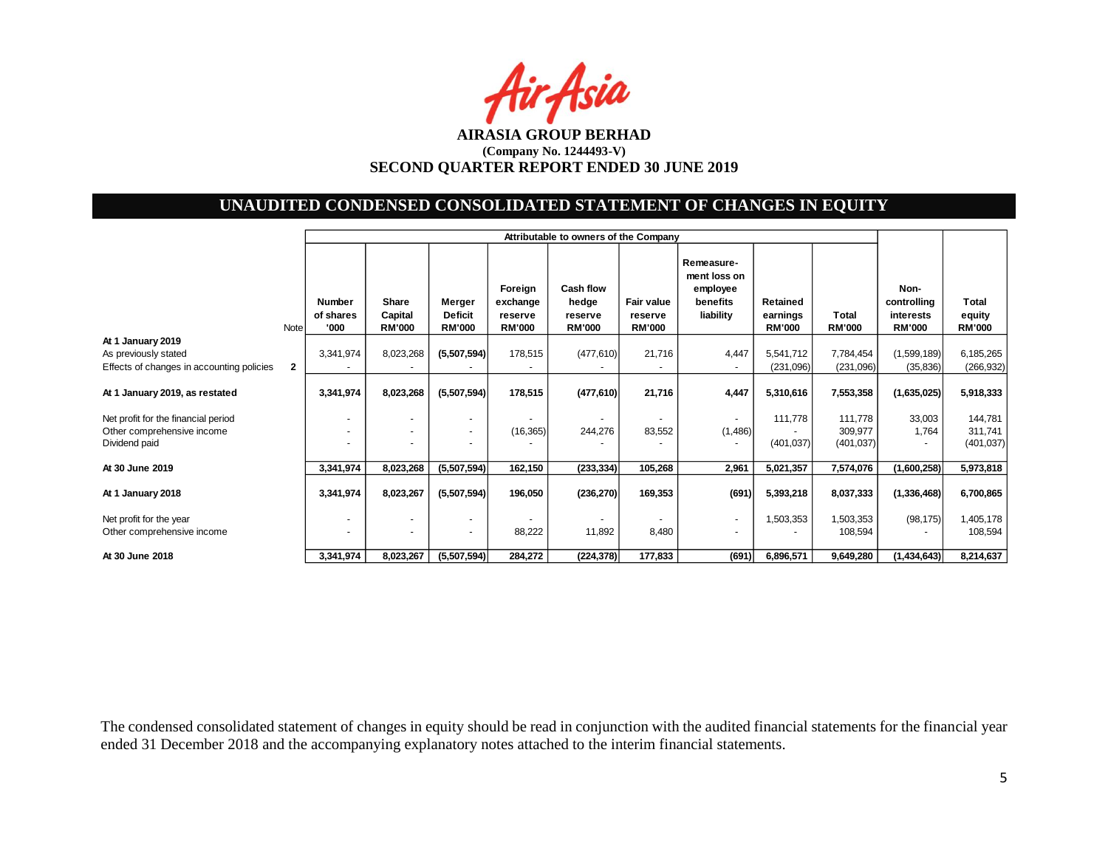Air Asia

# **UNAUDITED CONDENSED CONSOLIDATED STATEMENT OF CHANGES IN EQUITY**

|                                                                                        |              |                                            | Attributable to owners of the Company |                                                      |                                                 |                                                |                                        |                                                                 |                                       |                                  |                                                   |                                  |
|----------------------------------------------------------------------------------------|--------------|--------------------------------------------|---------------------------------------|------------------------------------------------------|-------------------------------------------------|------------------------------------------------|----------------------------------------|-----------------------------------------------------------------|---------------------------------------|----------------------------------|---------------------------------------------------|----------------------------------|
|                                                                                        | Note         | <b>Number</b><br>of shares<br>'000         | Share<br>Capital<br><b>RM'000</b>     | Merger<br><b>Deficit</b><br><b>RM'000</b>            | Foreign<br>exchange<br>reserve<br><b>RM'000</b> | Cash flow<br>hedge<br>reserve<br><b>RM'000</b> | Fair value<br>reserve<br><b>RM'000</b> | Remeasure-<br>ment loss on<br>employee<br>benefits<br>liability | Retained<br>earnings<br><b>RM'000</b> | <b>Total</b><br><b>RM'000</b>    | Non-<br>controlling<br>interests<br><b>RM'000</b> | Total<br>equity<br><b>RM'000</b> |
| At 1 January 2019<br>As previously stated<br>Effects of changes in accounting policies | $\mathbf{2}$ | 3,341,974                                  | 8,023,268                             | (5,507,594)                                          | 178,515                                         | (477, 610)                                     | 21,716                                 | 4,447<br>$\overline{\phantom{a}}$                               | 5,541,712<br>(231,096)                | 7,784,454<br>(231,096)           | (1,599,189)<br>(35, 836)                          | 6,185,265<br>(266, 932)          |
| At 1 January 2019, as restated                                                         |              | 3,341,974                                  | 8,023,268                             | (5,507,594)                                          | 178,515                                         | (477, 610)                                     | 21,716                                 | 4,447                                                           | 5,310,616                             | 7,553,358                        | (1,635,025)                                       | 5,918,333                        |
| Net profit for the financial period<br>Other comprehensive income<br>Dividend paid     |              | $\overline{\phantom{a}}$<br>$\overline{a}$ | $\overline{a}$                        | $\overline{\phantom{a}}$<br>$\overline{\phantom{a}}$ | (16, 365)                                       | $\blacksquare$<br>244,276                      | 83,552                                 | ٠<br>(1,486)                                                    | 111,778<br>(401, 037)                 | 111,778<br>309,977<br>(401, 037) | 33,003<br>1,764                                   | 144,781<br>311,741<br>(401, 037) |
| At 30 June 2019                                                                        |              | 3,341,974                                  | 8,023,268                             | (5,507,594)                                          | 162,150                                         | (233, 334)                                     | 105,268                                | 2,961                                                           | 5,021,357                             | 7,574,076                        | (1,600,258)                                       | 5,973,818                        |
| At 1 January 2018                                                                      |              | 3,341,974                                  | 8,023,267                             | (5,507,594)                                          | 196,050                                         | (236, 270)                                     | 169,353                                | (691)                                                           | 5,393,218                             | 8,037,333                        | (1,336,468)                                       | 6,700,865                        |
| Net profit for the year<br>Other comprehensive income                                  |              | $\overline{\phantom{a}}$                   | $\sim$                                | $\overline{\phantom{a}}$                             | 88,222                                          | 11,892                                         | 8,480                                  | $\overline{\phantom{a}}$<br>$\blacksquare$                      | 1,503,353                             | 1,503,353<br>108,594             | (98, 175)                                         | 1,405,178<br>108,594             |
| At 30 June 2018                                                                        |              | 3,341,974                                  | 8,023,267                             | (5,507,594)                                          | 284,272                                         | (224, 378)                                     | 177,833                                | (691)                                                           | 6,896,571                             | 9,649,280                        | (1,434,643)                                       | 8,214,637                        |

The condensed consolidated statement of changes in equity should be read in conjunction with the audited financial statements for the financial year ended 31 December 2018 and the accompanying explanatory notes attached to the interim financial statements.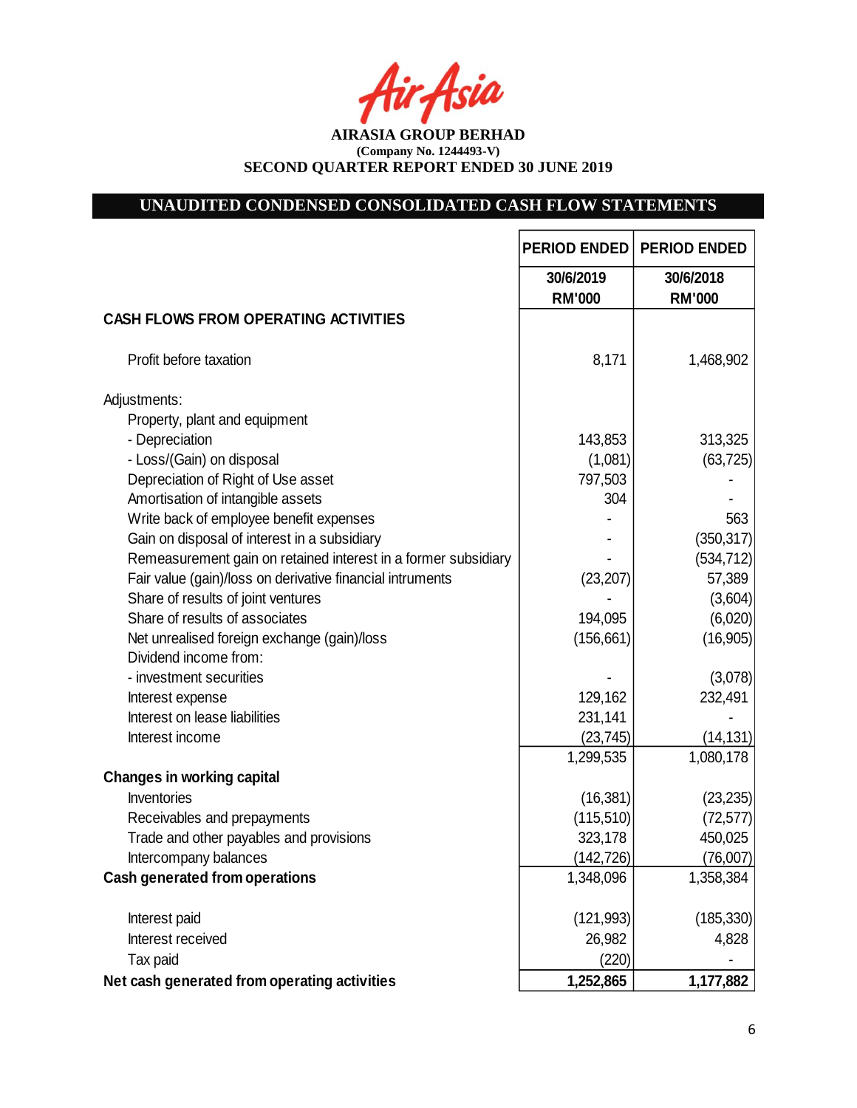tir Asia

**AIRASIA GROUP BERHAD (Company No. 1244493-V) SECOND QUARTER REPORT ENDED 30 JUNE 2019**

# **UNAUDITED CONDENSED CONSOLIDATED CASH FLOW STATEMENTS**

|                                                                | <b>PERIOD ENDED</b>        | <b>PERIOD ENDED</b>        |
|----------------------------------------------------------------|----------------------------|----------------------------|
|                                                                | 30/6/2019<br><b>RM'000</b> | 30/6/2018<br><b>RM'000</b> |
| <b>CASH FLOWS FROM OPERATING ACTIVITIES</b>                    |                            |                            |
| Profit before taxation                                         | 8,171                      | 1,468,902                  |
| Adjustments:                                                   |                            |                            |
| Property, plant and equipment                                  |                            |                            |
| - Depreciation                                                 | 143,853                    | 313,325                    |
| - Loss/(Gain) on disposal                                      | (1,081)                    | (63, 725)                  |
| Depreciation of Right of Use asset                             | 797,503                    |                            |
| Amortisation of intangible assets                              | 304                        |                            |
| Write back of employee benefit expenses                        |                            | 563                        |
| Gain on disposal of interest in a subsidiary                   |                            | (350, 317)                 |
| Remeasurement gain on retained interest in a former subsidiary |                            | (534, 712)                 |
| Fair value (gain)/loss on derivative financial intruments      | (23, 207)                  | 57,389                     |
| Share of results of joint ventures                             |                            | (3,604)                    |
| Share of results of associates                                 | 194,095                    | (6,020)                    |
| Net unrealised foreign exchange (gain)/loss                    | (156, 661)                 | (16, 905)                  |
| Dividend income from:                                          |                            |                            |
| - investment securities                                        |                            | (3,078)                    |
| Interest expense                                               | 129,162                    | 232,491                    |
| Interest on lease liabilities                                  | 231,141                    |                            |
| Interest income                                                | (23, 745)                  | (14, 131)                  |
|                                                                | 1,299,535                  | 1,080,178                  |
| <b>Changes in working capital</b>                              |                            |                            |
| Inventories                                                    | (16, 381)                  | (23, 235)                  |
| Receivables and prepayments                                    | (115, 510)                 | (72, 577)                  |
| Trade and other payables and provisions                        | 323,178                    | 450,025                    |
| Intercompany balances                                          | (142, 726)                 | (76,007)                   |
| <b>Cash generated from operations</b>                          | 1,348,096                  | 1,358,384                  |
| Interest paid                                                  | (121, 993)                 | (185, 330)                 |
| Interest received                                              | 26,982                     | 4,828                      |
| Tax paid                                                       | (220)                      |                            |
| Net cash generated from operating activities                   | 1,252,865                  | 1,177,882                  |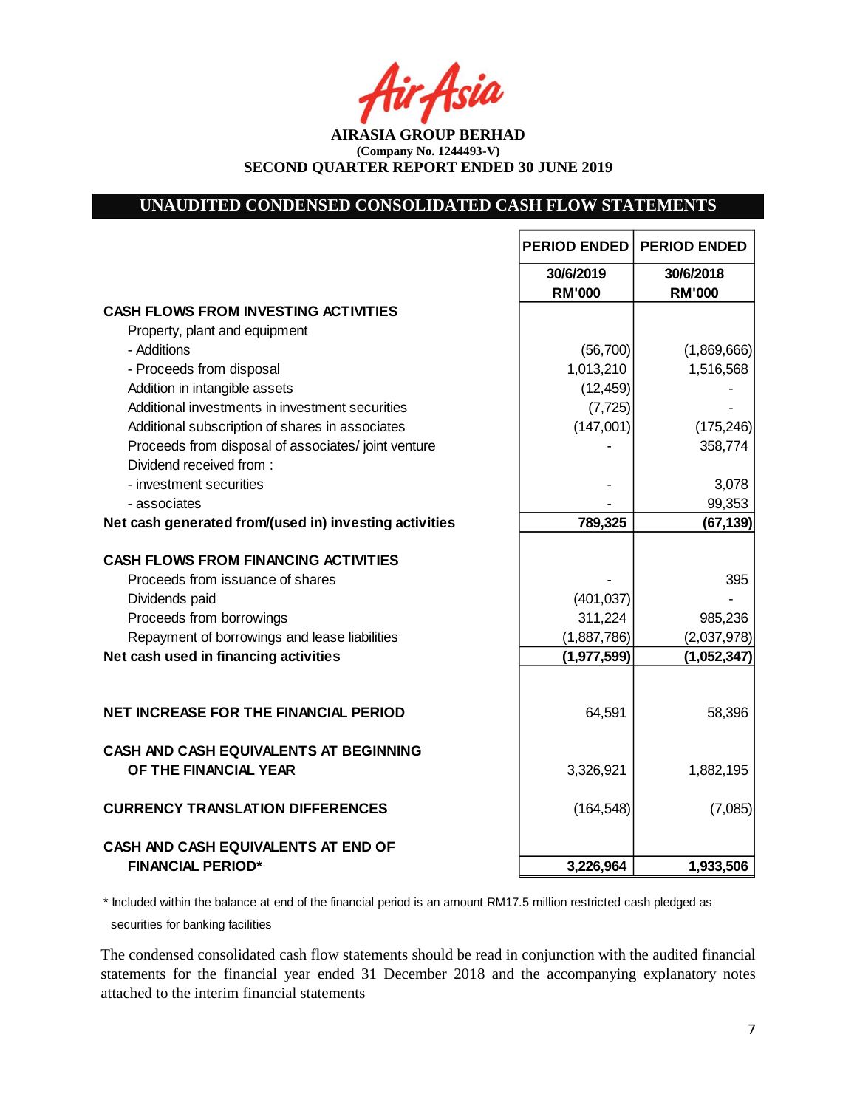-Asia

**AIRASIA GROUP BERHAD (Company No. 1244493-V) SECOND QUARTER REPORT ENDED 30 JUNE 2019**

#### **UNAUDITED CONDENSED CONSOLIDATED CASH FLOW STATEMENTS**

|                                                                 | <b>PERIOD ENDED</b>        | <b>PERIOD ENDED</b>        |
|-----------------------------------------------------------------|----------------------------|----------------------------|
|                                                                 | 30/6/2019<br><b>RM'000</b> | 30/6/2018<br><b>RM'000</b> |
| <b>CASH FLOWS FROM INVESTING ACTIVITIES</b>                     |                            |                            |
| Property, plant and equipment                                   |                            |                            |
| - Additions                                                     | (56, 700)                  | (1,869,666)                |
| - Proceeds from disposal                                        | 1,013,210                  | 1,516,568                  |
| Addition in intangible assets                                   | (12, 459)                  |                            |
| Additional investments in investment securities                 | (7, 725)                   |                            |
| Additional subscription of shares in associates                 | (147,001)                  | (175, 246)                 |
| Proceeds from disposal of associates/joint venture              |                            | 358,774                    |
| Dividend received from:                                         |                            |                            |
| - investment securities                                         |                            | 3,078                      |
| - associates                                                    |                            | 99,353                     |
| Net cash generated from/(used in) investing activities          | 789,325                    | (67, 139)                  |
|                                                                 |                            |                            |
| <b>CASH FLOWS FROM FINANCING ACTIVITIES</b>                     |                            |                            |
| Proceeds from issuance of shares                                |                            | 395                        |
| Dividends paid                                                  | (401, 037)                 |                            |
| Proceeds from borrowings                                        | 311,224                    | 985,236                    |
| Repayment of borrowings and lease liabilities                   | (1,887,786)                | (2,037,978)                |
| Net cash used in financing activities                           | (1, 977, 599)              | (1,052,347)                |
|                                                                 |                            |                            |
| <b>NET INCREASE FOR THE FINANCIAL PERIOD</b>                    | 64,591                     | 58,396                     |
| CASH AND CASH EQUIVALENTS AT BEGINNING<br>OF THE FINANCIAL YEAR | 3,326,921                  | 1,882,195                  |
| <b>CURRENCY TRANSLATION DIFFERENCES</b>                         | (164, 548)                 | (7,085)                    |
| <b>CASH AND CASH EQUIVALENTS AT END OF</b>                      |                            |                            |
| <b>FINANCIAL PERIOD*</b>                                        | 3,226,964                  | 1,933,506                  |

\* Included within the balance at end of the financial period is an amount RM17.5 million restricted cash pledged as securities for banking facilities

The condensed consolidated cash flow statements should be read in conjunction with the audited financial statements for the financial year ended 31 December 2018 and the accompanying explanatory notes attached to the interim financial statements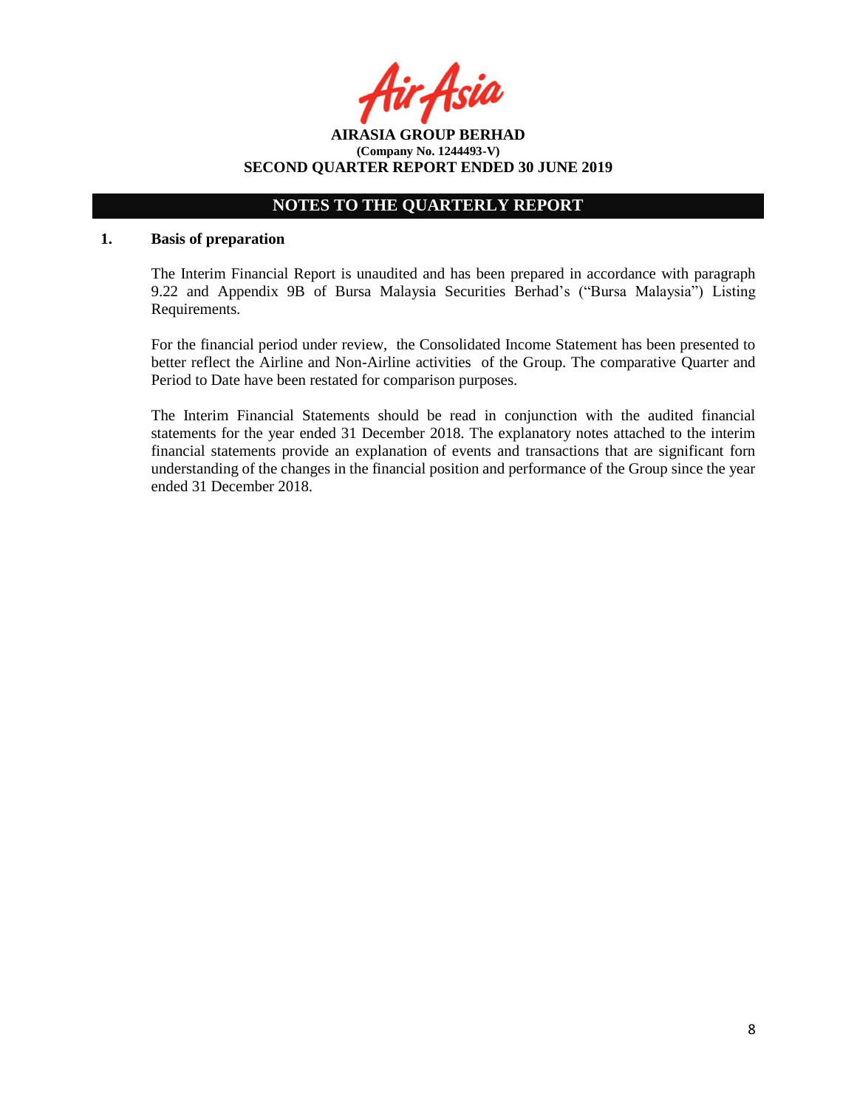**AIRASIA GROUP BERHAD (Company No. 1244493-V) SECOND QUARTER REPORT ENDED 30 JUNE 2019**

## **NOTES TO THE QUARTERLY REPORT**

#### **1. Basis of preparation**

The Interim Financial Report is unaudited and has been prepared in accordance with paragraph 9.22 and Appendix 9B of Bursa Malaysia Securities Berhad's ("Bursa Malaysia") Listing Requirements.

For the financial period under review, the Consolidated Income Statement has been presented to better reflect the Airline and Non-Airline activities of the Group. The comparative Quarter and Period to Date have been restated for comparison purposes.

The Interim Financial Statements should be read in conjunction with the audited financial statements for the year ended 31 December 2018. The explanatory notes attached to the interim financial statements provide an explanation of events and transactions that are significant forn understanding of the changes in the financial position and performance of the Group since the year ended 31 December 2018.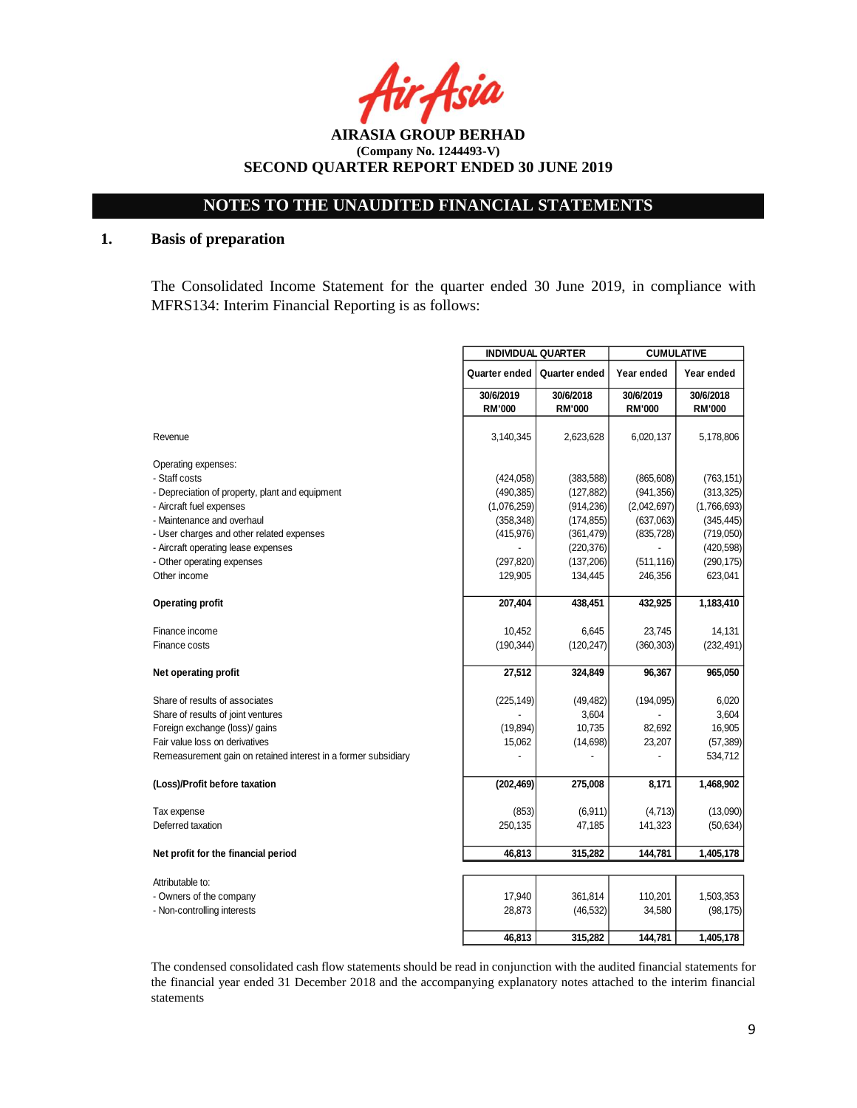Asia

**AIRASIA GROUP BERHAD (Company No. 1244493-V) SECOND QUARTER REPORT ENDED 30 JUNE 2019**

### **1. Basis of preparation**

The Consolidated Income Statement for the quarter ended 30 June 2019, in compliance with MFRS134: Interim Financial Reporting is as follows:

|                                                                | <b>INDIVIDUAL QUARTER</b> |               | <b>CUMULATIVE</b> |               |
|----------------------------------------------------------------|---------------------------|---------------|-------------------|---------------|
|                                                                | Quarter ended             | Quarter ended | Year ended        | Year ended    |
|                                                                | 30/6/2019                 | 30/6/2018     | 30/6/2019         | 30/6/2018     |
|                                                                | <b>RM'000</b>             | <b>RM'000</b> | <b>RM'000</b>     | <b>RM'000</b> |
| Revenue                                                        | 3,140,345                 | 2,623,628     | 6,020,137         | 5,178,806     |
| Operating expenses:                                            |                           |               |                   |               |
| - Staff costs                                                  | (424, 058)                | (383, 588)    | (865, 608)        | (763, 151)    |
| - Depreciation of property, plant and equipment                | (490, 385)                | (127, 882)    | (941, 356)        | (313, 325)    |
| - Aircraft fuel expenses                                       | (1,076,259)               | (914, 236)    | (2,042,697)       | (1,766,693)   |
| - Maintenance and overhaul                                     | (358, 348)                | (174, 855)    | (637,063)         | (345, 445)    |
| - User charges and other related expenses                      | (415, 976)                | (361, 479)    | (835, 728)        | (719,050)     |
| - Aircraft operating lease expenses                            |                           | (220, 376)    |                   | (420, 598)    |
| - Other operating expenses                                     | (297, 820)                | (137,206)     | (511, 116)        | (290, 175)    |
| Other income                                                   | 129,905                   | 134,445       | 246,356           | 623,041       |
| <b>Operating profit</b>                                        | 207,404                   | 438,451       | 432,925           | 1,183,410     |
| Finance income                                                 | 10,452                    | 6,645         | 23,745            | 14,131        |
| Finance costs                                                  | (190, 344)                | (120, 247)    | (360, 303)        | (232, 491)    |
| Net operating profit                                           | 27,512                    | 324,849       | 96,367            | 965,050       |
| Share of results of associates                                 | (225, 149)                | (49, 482)     | (194, 095)        | 6,020         |
| Share of results of joint ventures                             |                           | 3,604         |                   | 3,604         |
| Foreign exchange (loss)/ gains                                 | (19, 894)                 | 10,735        | 82,692            | 16,905        |
| Fair value loss on derivatives                                 | 15,062                    | (14, 698)     | 23,207            | (57, 389)     |
| Remeasurement gain on retained interest in a former subsidiary |                           |               |                   | 534,712       |
| (Loss)/Profit before taxation                                  | (202, 469)                | 275,008       | 8,171             | 1,468,902     |
| Tax expense                                                    | (853)                     | (6, 911)      | (4,713)           | (13,090)      |
| Deferred taxation                                              | 250,135                   | 47,185        | 141,323           | (50, 634)     |
| Net profit for the financial period                            | 46,813                    | 315,282       | 144,781           | 1,405,178     |
| Attributable to:                                               |                           |               |                   |               |
| - Owners of the company                                        | 17,940                    | 361,814       | 110,201           | 1,503,353     |
| - Non-controlling interests                                    | 28,873                    | (46, 532)     | 34,580            | (98, 175)     |
|                                                                | 46,813                    | 315,282       | 144,781           | 1,405,178     |

The condensed consolidated cash flow statements should be read in conjunction with the audited financial statements for the financial year ended 31 December 2018 and the accompanying explanatory notes attached to the interim financial statements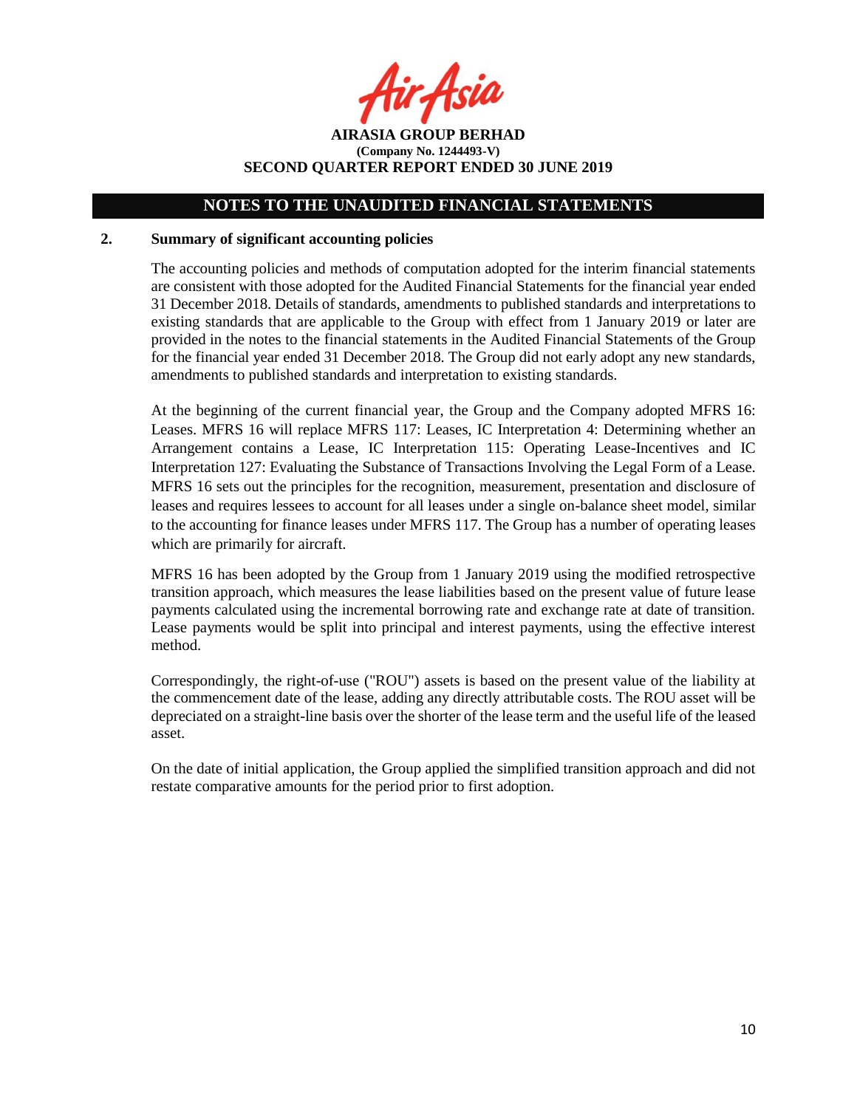Asia

**AIRASIA GROUP BERHAD (Company No. 1244493-V) SECOND QUARTER REPORT ENDED 30 JUNE 2019**

#### **2. Summary of significant accounting policies**

The accounting policies and methods of computation adopted for the interim financial statements are consistent with those adopted for the Audited Financial Statements for the financial year ended 31 December 2018. Details of standards, amendments to published standards and interpretations to existing standards that are applicable to the Group with effect from 1 January 2019 or later are provided in the notes to the financial statements in the Audited Financial Statements of the Group for the financial year ended 31 December 2018. The Group did not early adopt any new standards, amendments to published standards and interpretation to existing standards.

At the beginning of the current financial year, the Group and the Company adopted MFRS 16: Leases. MFRS 16 will replace MFRS 117: Leases, IC Interpretation 4: Determining whether an Arrangement contains a Lease, IC Interpretation 115: Operating Lease-Incentives and IC Interpretation 127: Evaluating the Substance of Transactions Involving the Legal Form of a Lease. MFRS 16 sets out the principles for the recognition, measurement, presentation and disclosure of leases and requires lessees to account for all leases under a single on-balance sheet model, similar to the accounting for finance leases under MFRS 117. The Group has a number of operating leases which are primarily for aircraft.

MFRS 16 has been adopted by the Group from 1 January 2019 using the modified retrospective transition approach, which measures the lease liabilities based on the present value of future lease payments calculated using the incremental borrowing rate and exchange rate at date of transition. Lease payments would be split into principal and interest payments, using the effective interest method.

Correspondingly, the right-of-use ("ROU") assets is based on the present value of the liability at the commencement date of the lease, adding any directly attributable costs. The ROU asset will be depreciated on a straight-line basis over the shorter of the lease term and the useful life of the leased asset.

On the date of initial application, the Group applied the simplified transition approach and did not restate comparative amounts for the period prior to first adoption.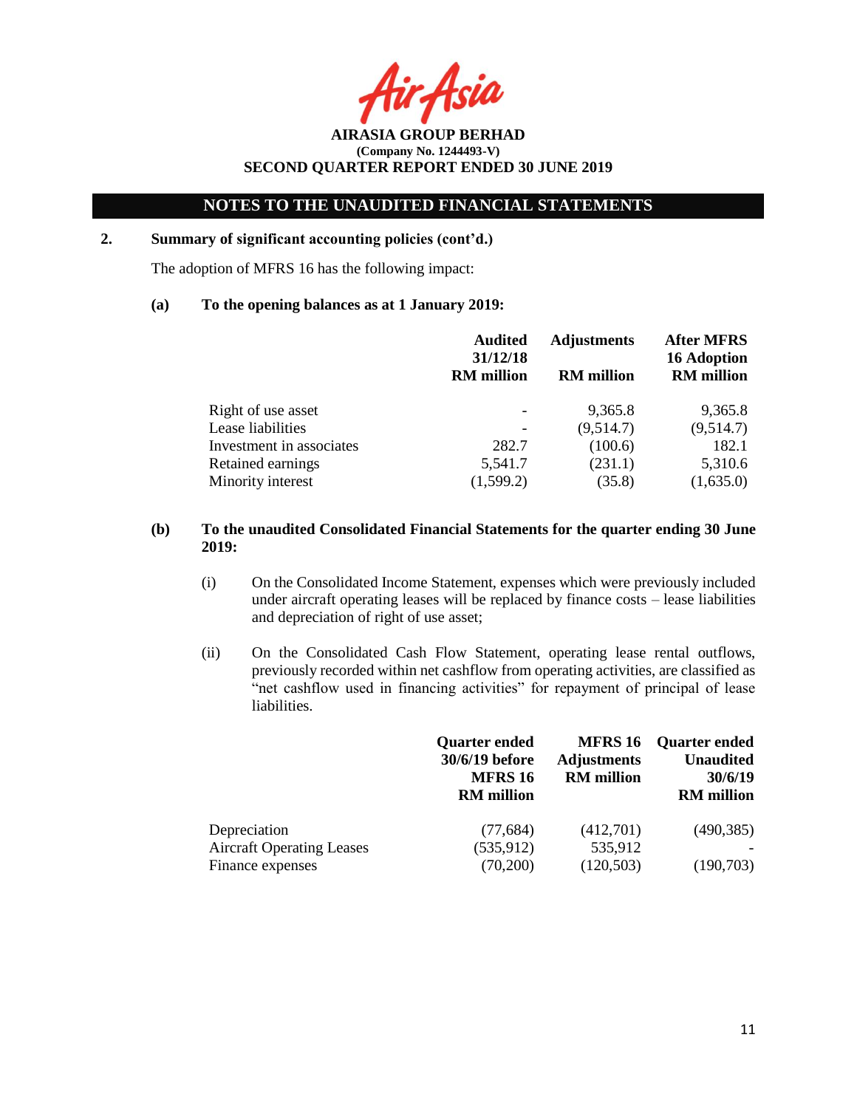Acit

**AIRASIA GROUP BERHAD (Company No. 1244493-V) SECOND QUARTER REPORT ENDED 30 JUNE 2019**

### **2. Summary of significant accounting policies (cont'd.)**

The adoption of MFRS 16 has the following impact:

#### **(a) To the opening balances as at 1 January 2019:**

|                          | <b>Audited</b><br>31/12/18<br><b>RM</b> million | <b>Adjustments</b><br><b>RM</b> million | <b>After MFRS</b><br><b>16 Adoption</b><br><b>RM</b> million |
|--------------------------|-------------------------------------------------|-----------------------------------------|--------------------------------------------------------------|
| Right of use asset       |                                                 | 9,365.8                                 | 9,365.8                                                      |
| Lease liabilities        |                                                 | (9,514.7)                               | (9,514.7)                                                    |
| Investment in associates | 282.7                                           | (100.6)                                 | 182.1                                                        |
| Retained earnings        | 5,541.7                                         | (231.1)                                 | 5,310.6                                                      |
| Minority interest        | (1,599.2)                                       | (35.8)                                  | (1,635.0)                                                    |

### **(b) To the unaudited Consolidated Financial Statements for the quarter ending 30 June 2019:**

- (i) On the Consolidated Income Statement, expenses which were previously included under aircraft operating leases will be replaced by finance costs – lease liabilities and depreciation of right of use asset;
- (ii) On the Consolidated Cash Flow Statement, operating lease rental outflows, previously recorded within net cashflow from operating activities, are classified as "net cashflow used in financing activities" for repayment of principal of lease liabilities.

|                                  | <b>Quarter ended</b><br>30/6/19 before<br><b>MFRS 16</b><br><b>RM</b> million | <b>MFRS 16</b><br><b>Adjustments</b><br><b>RM</b> million | <b>Quarter ended</b><br><b>Unaudited</b><br>30/6/19<br><b>RM</b> million |
|----------------------------------|-------------------------------------------------------------------------------|-----------------------------------------------------------|--------------------------------------------------------------------------|
| Depreciation                     | (77, 684)                                                                     | (412,701)                                                 | (490, 385)                                                               |
| <b>Aircraft Operating Leases</b> | (535, 912)                                                                    | 535,912                                                   |                                                                          |
| Finance expenses                 | (70,200)                                                                      | (120, 503)                                                | (190,703)                                                                |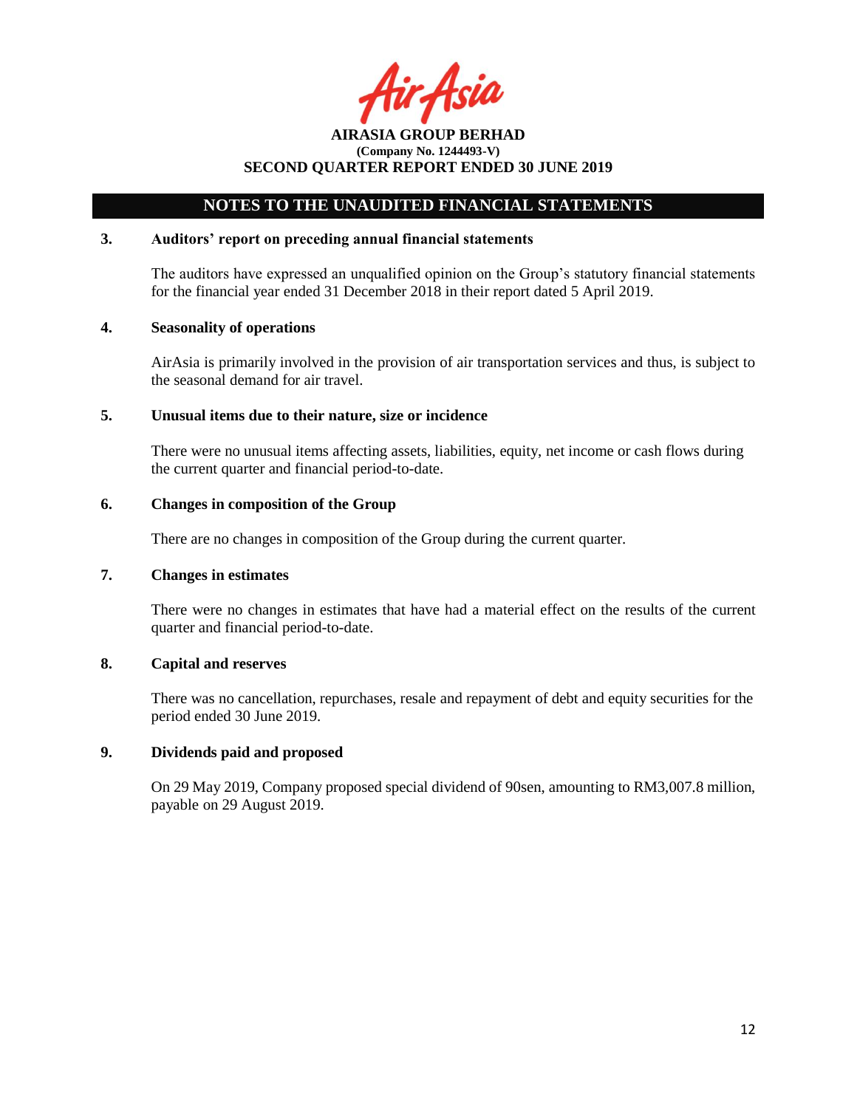Acil

## **NOTES TO THE UNAUDITED FINANCIAL STATEMENTS**

### **3. Auditors' report on preceding annual financial statements**

The auditors have expressed an unqualified opinion on the Group's statutory financial statements for the financial year ended 31 December 2018 in their report dated 5 April 2019.

#### **4. Seasonality of operations**

AirAsia is primarily involved in the provision of air transportation services and thus, is subject to the seasonal demand for air travel.

#### **5. Unusual items due to their nature, size or incidence**

There were no unusual items affecting assets, liabilities, equity, net income or cash flows during the current quarter and financial period-to-date.

#### **6. Changes in composition of the Group**

There are no changes in composition of the Group during the current quarter.

#### **7. Changes in estimates**

There were no changes in estimates that have had a material effect on the results of the current quarter and financial period-to-date.

### **8. Capital and reserves**

There was no cancellation, repurchases, resale and repayment of debt and equity securities for the period ended 30 June 2019.

#### **9. Dividends paid and proposed**

On 29 May 2019, Company proposed special dividend of 90sen, amounting to RM3,007.8 million, payable on 29 August 2019.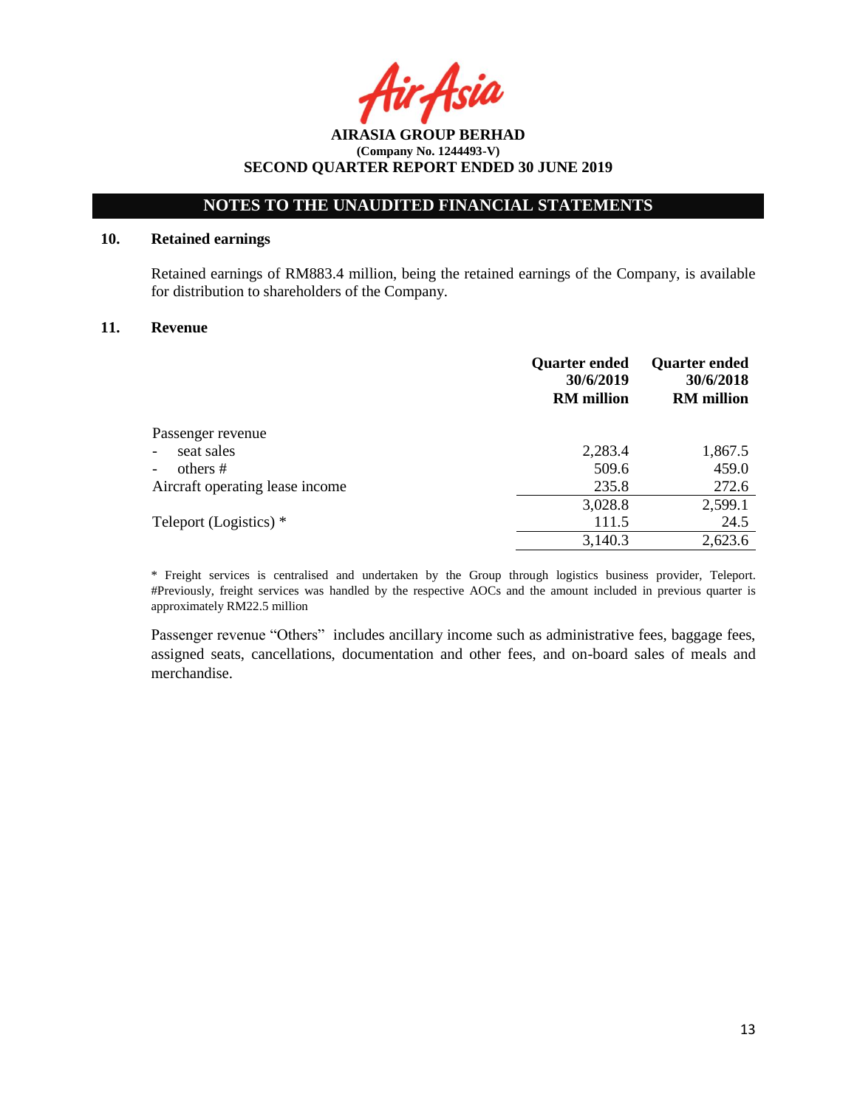Asia

## **NOTES TO THE UNAUDITED FINANCIAL STATEMENTS**

### **10. Retained earnings**

Retained earnings of RM883.4 million, being the retained earnings of the Company, is available for distribution to shareholders of the Company.

#### **11. Revenue**

|                                 | <b>Quarter ended</b><br>30/6/2019<br><b>RM</b> million | <b>Quarter ended</b><br>30/6/2018<br><b>RM</b> million |
|---------------------------------|--------------------------------------------------------|--------------------------------------------------------|
| Passenger revenue               |                                                        |                                                        |
| seat sales<br>$\blacksquare$    | 2,283.4                                                | 1,867.5                                                |
| others #                        | 509.6                                                  | 459.0                                                  |
| Aircraft operating lease income | 235.8                                                  | 272.6                                                  |
|                                 | 3,028.8                                                | 2,599.1                                                |
| Teleport (Logistics) *          | 111.5                                                  | 24.5                                                   |
|                                 | 3,140.3                                                | 2,623.6                                                |

\* Freight services is centralised and undertaken by the Group through logistics business provider, Teleport. #Previously, freight services was handled by the respective AOCs and the amount included in previous quarter is approximately RM22.5 million

Passenger revenue "Others" includes ancillary income such as administrative fees, baggage fees, assigned seats, cancellations, documentation and other fees, and on-board sales of meals and merchandise.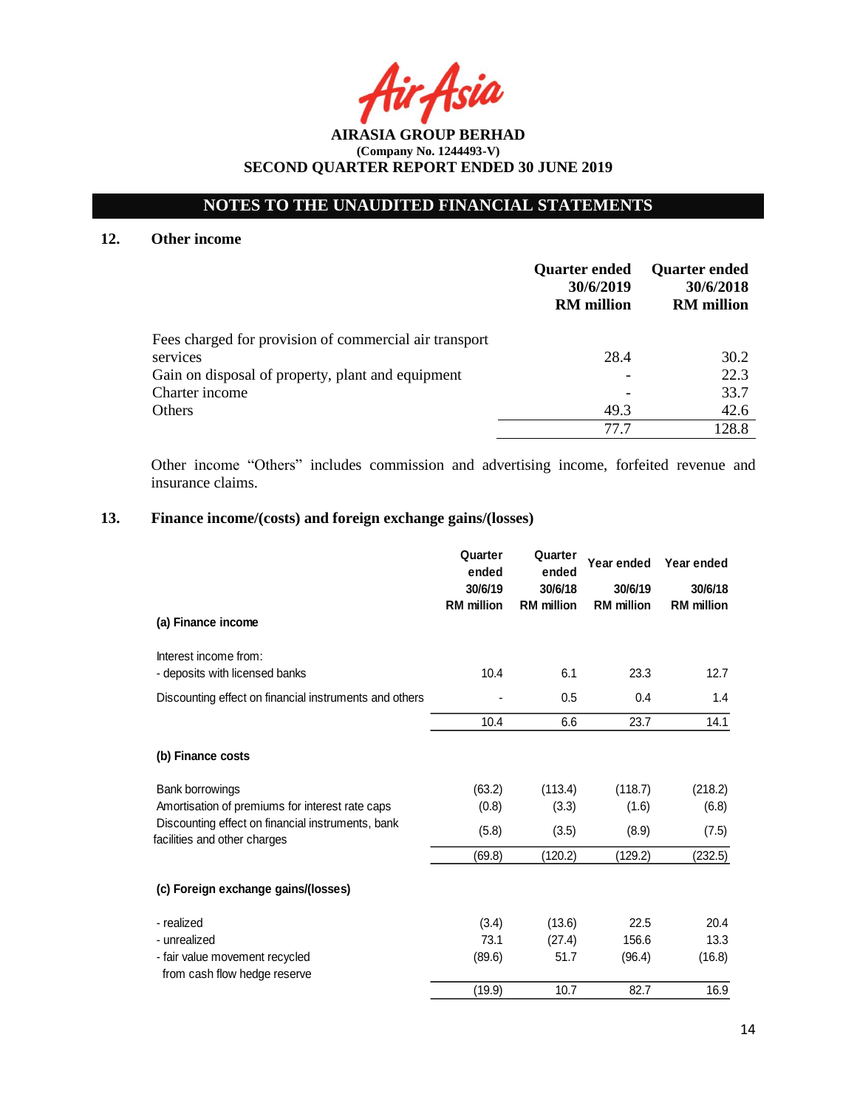# **NOTES TO THE UNAUDITED FINANCIAL STATEMENTS**

### **12. Other income**

|                                                        | <b>Quarter ended</b><br>30/6/2019<br><b>RM</b> million | <b>Quarter ended</b><br>30/6/2018<br><b>RM</b> million |
|--------------------------------------------------------|--------------------------------------------------------|--------------------------------------------------------|
| Fees charged for provision of commercial air transport |                                                        |                                                        |
| services                                               | 28.4                                                   | 30.2                                                   |
| Gain on disposal of property, plant and equipment      |                                                        | 22.3                                                   |
| Charter income                                         |                                                        | 33.7                                                   |
| Others                                                 | 49.3                                                   | 42.6                                                   |
|                                                        | 77 7                                                   | 128.8                                                  |

Other income "Others" includes commission and advertising income, forfeited revenue and insurance claims.

# **13. Finance income/(costs) and foreign exchange gains/(losses)**

|                                                                                   | Quarter<br>ended  | Quarter<br>ended  | Year ended        | Year ended        |
|-----------------------------------------------------------------------------------|-------------------|-------------------|-------------------|-------------------|
|                                                                                   | 30/6/19           | 30/6/18           | 30/6/19           | 30/6/18           |
| (a) Finance income                                                                | <b>RM</b> million | <b>RM</b> million | <b>RM</b> million | <b>RM</b> million |
| Interest income from:                                                             |                   |                   |                   |                   |
| - deposits with licensed banks                                                    | 10.4              | 6.1               | 23.3              | 12.7              |
| Discounting effect on financial instruments and others                            |                   | 0.5               | 0.4               | 1.4               |
|                                                                                   | 10.4              | 6.6               | 23.7              | 14.1              |
| (b) Finance costs                                                                 |                   |                   |                   |                   |
| Bank borrowings                                                                   | (63.2)            | (113.4)           | (118.7)           | (218.2)           |
| Amortisation of premiums for interest rate caps                                   | (0.8)             | (3.3)             | (1.6)             | (6.8)             |
| Discounting effect on financial instruments, bank<br>facilities and other charges | (5.8)             | (3.5)             | (8.9)             | (7.5)             |
|                                                                                   | (69.8)            | (120.2)           | (129.2)           | (232.5)           |
| (c) Foreign exchange gains/(losses)                                               |                   |                   |                   |                   |
| - realized                                                                        | (3.4)             | (13.6)            | 22.5              | 20.4              |
| - unrealized                                                                      | 73.1              | (27.4)            | 156.6             | 13.3              |
| - fair value movement recycled<br>from cash flow hedge reserve                    | (89.6)            | 51.7              | (96.4)            | (16.8)            |
|                                                                                   | (19.9)            | 10.7              | 82.7              | 16.9              |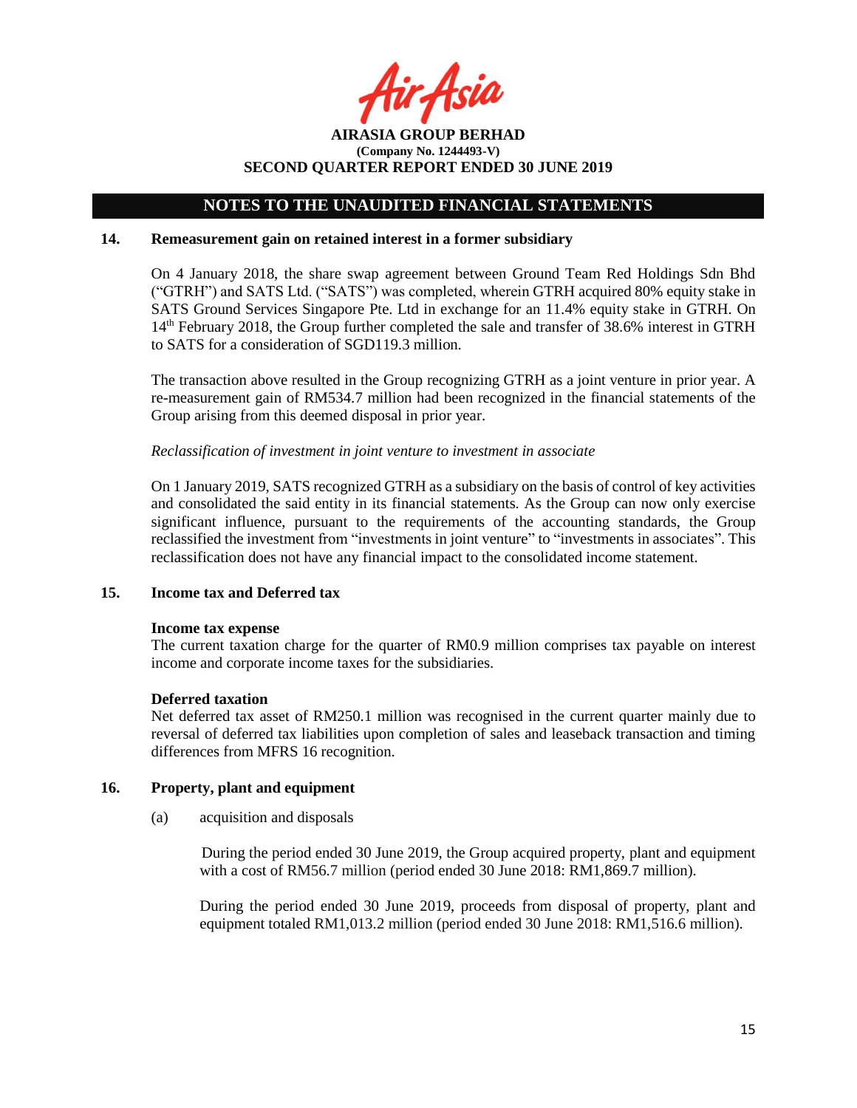Asil

**AIRASIA GROUP BERHAD (Company No. 1244493-V) SECOND QUARTER REPORT ENDED 30 JUNE 2019**

#### **14. Remeasurement gain on retained interest in a former subsidiary**

On 4 January 2018, the share swap agreement between Ground Team Red Holdings Sdn Bhd ("GTRH") and SATS Ltd. ("SATS") was completed, wherein GTRH acquired 80% equity stake in SATS Ground Services Singapore Pte. Ltd in exchange for an 11.4% equity stake in GTRH. On 14<sup>th</sup> February 2018, the Group further completed the sale and transfer of 38.6% interest in GTRH to SATS for a consideration of SGD119.3 million.

The transaction above resulted in the Group recognizing GTRH as a joint venture in prior year. A re-measurement gain of RM534.7 million had been recognized in the financial statements of the Group arising from this deemed disposal in prior year.

#### *Reclassification of investment in joint venture to investment in associate*

On 1 January 2019, SATS recognized GTRH as a subsidiary on the basis of control of key activities and consolidated the said entity in its financial statements. As the Group can now only exercise significant influence, pursuant to the requirements of the accounting standards, the Group reclassified the investment from "investments in joint venture" to "investments in associates". This reclassification does not have any financial impact to the consolidated income statement.

#### **15. Income tax and Deferred tax**

#### **Income tax expense**

The current taxation charge for the quarter of RM0.9 million comprises tax payable on interest income and corporate income taxes for the subsidiaries.

#### **Deferred taxation**

Net deferred tax asset of RM250.1 million was recognised in the current quarter mainly due to reversal of deferred tax liabilities upon completion of sales and leaseback transaction and timing differences from MFRS 16 recognition.

#### **16. Property, plant and equipment**

(a) acquisition and disposals

During the period ended 30 June 2019, the Group acquired property, plant and equipment with a cost of RM56.7 million (period ended 30 June 2018: RM1,869.7 million).

During the period ended 30 June 2019, proceeds from disposal of property, plant and equipment totaled RM1,013.2 million (period ended 30 June 2018: RM1,516.6 million).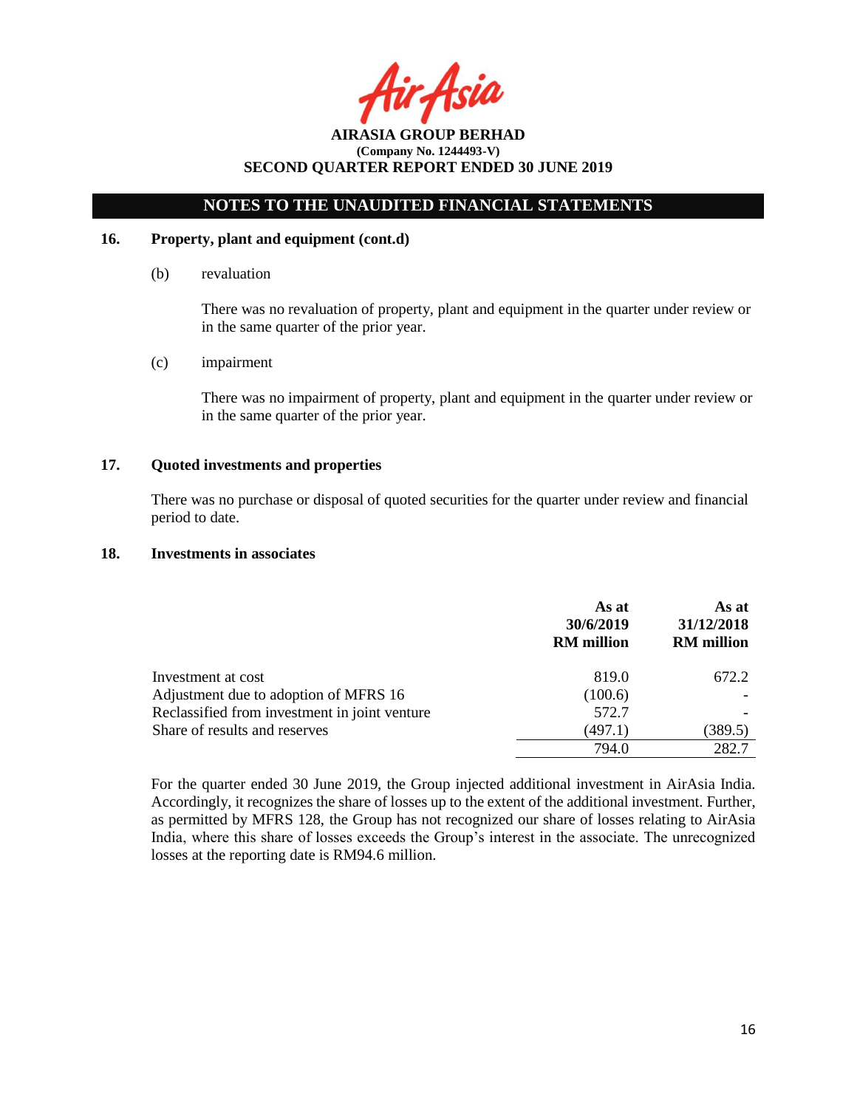Asia

## **NOTES TO THE UNAUDITED FINANCIAL STATEMENTS**

#### **16. Property, plant and equipment (cont.d)**

(b) revaluation

There was no revaluation of property, plant and equipment in the quarter under review or in the same quarter of the prior year.

(c) impairment

There was no impairment of property, plant and equipment in the quarter under review or in the same quarter of the prior year.

### **17. Quoted investments and properties**

There was no purchase or disposal of quoted securities for the quarter under review and financial period to date.

#### **18. Investments in associates**

|                                               | As at<br>30/6/2019<br><b>RM</b> million | As at<br>31/12/2018<br><b>RM</b> million |
|-----------------------------------------------|-----------------------------------------|------------------------------------------|
| Investment at cost                            | 819.0                                   | 672.2                                    |
| Adjustment due to adoption of MFRS 16         | (100.6)                                 |                                          |
| Reclassified from investment in joint venture | 572.7                                   |                                          |
| Share of results and reserves                 | (497.1)                                 | (389.5)                                  |
|                                               | 794.0                                   | 282.7                                    |

For the quarter ended 30 June 2019, the Group injected additional investment in AirAsia India. Accordingly, it recognizes the share of losses up to the extent of the additional investment. Further, as permitted by MFRS 128, the Group has not recognized our share of losses relating to AirAsia India, where this share of losses exceeds the Group's interest in the associate. The unrecognized losses at the reporting date is RM94.6 million.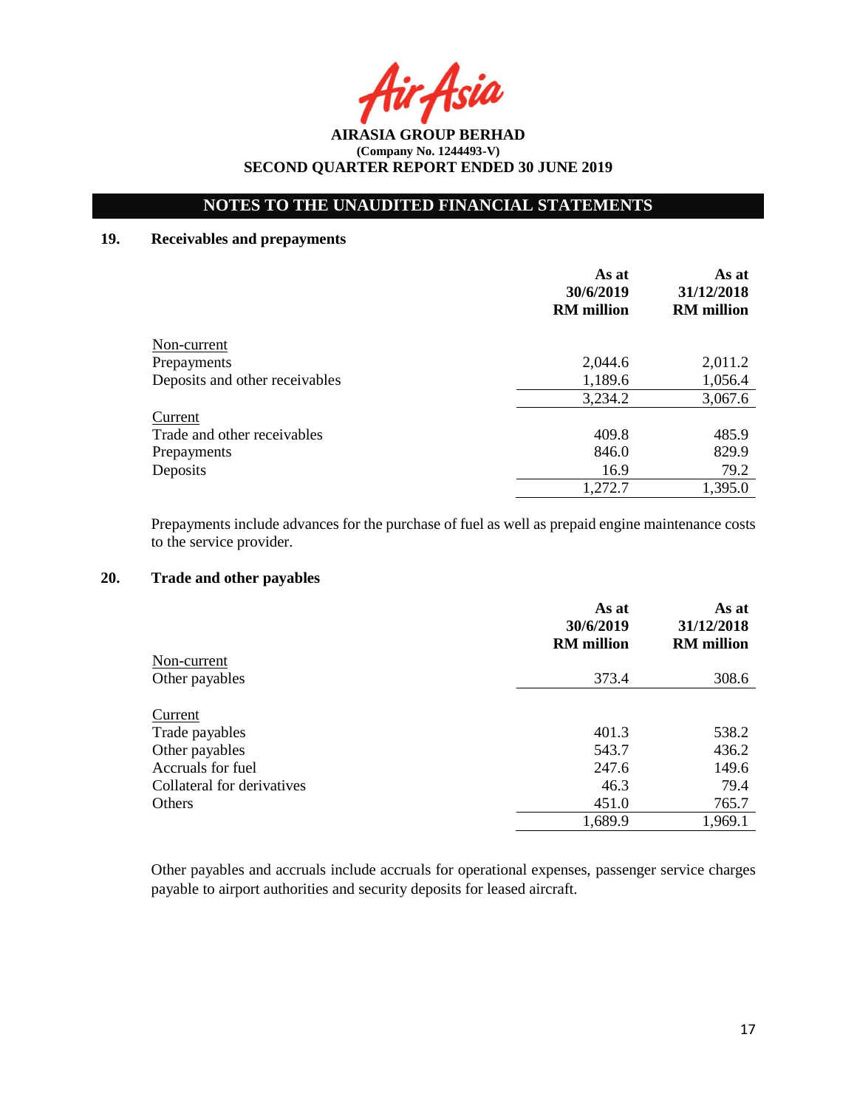Asia

**AIRASIA GROUP BERHAD (Company No. 1244493-V) SECOND QUARTER REPORT ENDED 30 JUNE 2019**

### **19. Receivables and prepayments**

|                                | As at<br>30/6/2019<br><b>RM</b> million | As at<br>31/12/2018<br><b>RM</b> million |
|--------------------------------|-----------------------------------------|------------------------------------------|
| Non-current                    |                                         |                                          |
| Prepayments                    | 2,044.6                                 | 2,011.2                                  |
| Deposits and other receivables | 1,189.6                                 | 1,056.4                                  |
|                                | 3,234.2                                 | 3,067.6                                  |
| Current                        |                                         |                                          |
| Trade and other receivables    | 409.8                                   | 485.9                                    |
| Prepayments                    | 846.0                                   | 829.9                                    |
| Deposits                       | 16.9                                    | 79.2                                     |
|                                | 1,272.7                                 | 1,395.0                                  |

Prepayments include advances for the purchase of fuel as well as prepaid engine maintenance costs to the service provider.

### **20. Trade and other payables**

|                            | As at<br>30/6/2019<br><b>RM</b> million | As at<br>31/12/2018<br><b>RM</b> million |
|----------------------------|-----------------------------------------|------------------------------------------|
| Non-current                |                                         |                                          |
| Other payables             | 373.4                                   | 308.6                                    |
| Current                    |                                         |                                          |
| Trade payables             | 401.3                                   | 538.2                                    |
| Other payables             | 543.7                                   | 436.2                                    |
| Accruals for fuel          | 247.6                                   | 149.6                                    |
| Collateral for derivatives | 46.3                                    | 79.4                                     |
| Others                     | 451.0                                   | 765.7                                    |
|                            | 1,689.9                                 | 1,969.1                                  |

Other payables and accruals include accruals for operational expenses, passenger service charges payable to airport authorities and security deposits for leased aircraft.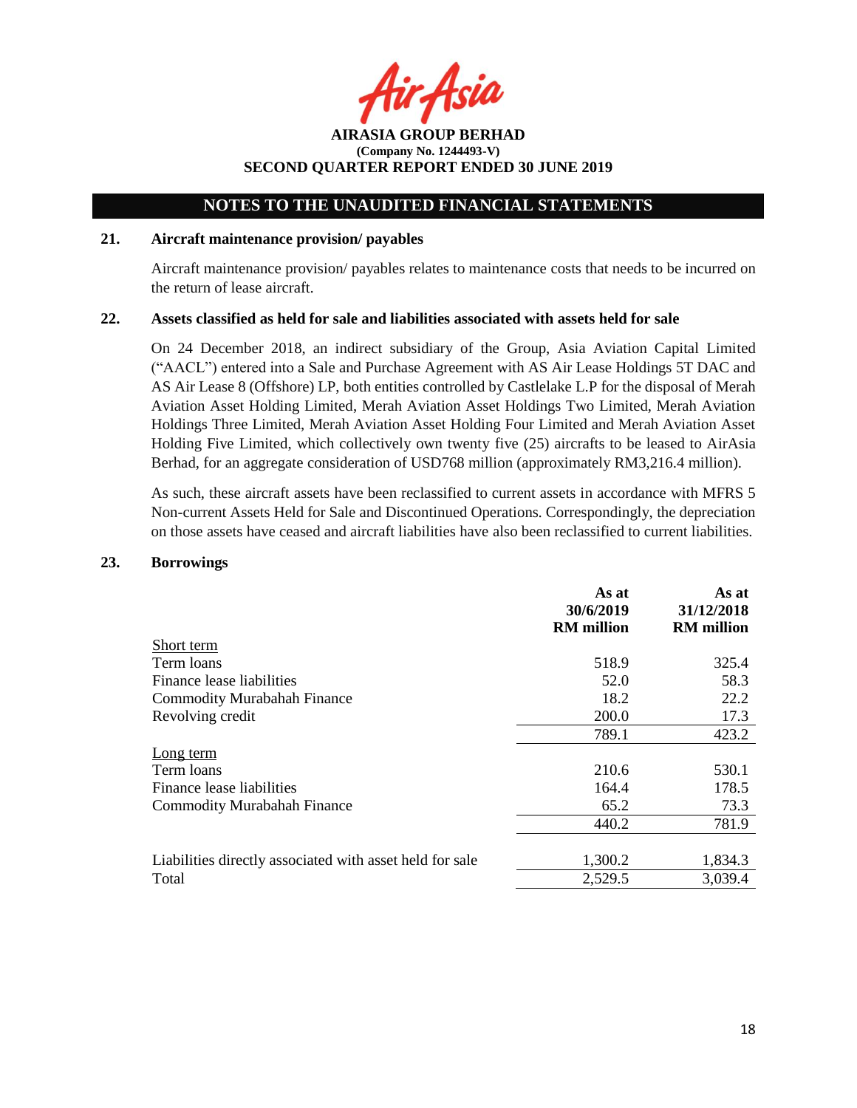Asia

**AIRASIA GROUP BERHAD (Company No. 1244493-V) SECOND QUARTER REPORT ENDED 30 JUNE 2019**

#### **21. Aircraft maintenance provision/ payables**

Aircraft maintenance provision/ payables relates to maintenance costs that needs to be incurred on the return of lease aircraft.

#### **22. Assets classified as held for sale and liabilities associated with assets held for sale**

On 24 December 2018, an indirect subsidiary of the Group, Asia Aviation Capital Limited ("AACL") entered into a Sale and Purchase Agreement with AS Air Lease Holdings 5T DAC and AS Air Lease 8 (Offshore) LP, both entities controlled by Castlelake L.P for the disposal of Merah Aviation Asset Holding Limited, Merah Aviation Asset Holdings Two Limited, Merah Aviation Holdings Three Limited, Merah Aviation Asset Holding Four Limited and Merah Aviation Asset Holding Five Limited, which collectively own twenty five (25) aircrafts to be leased to AirAsia Berhad, for an aggregate consideration of USD768 million (approximately RM3,216.4 million).

As such, these aircraft assets have been reclassified to current assets in accordance with MFRS 5 Non-current Assets Held for Sale and Discontinued Operations. Correspondingly, the depreciation on those assets have ceased and aircraft liabilities have also been reclassified to current liabilities.

#### **23. Borrowings**

|                                                          | As at<br>30/6/2019<br><b>RM</b> million | As at<br>31/12/2018<br><b>RM</b> million |
|----------------------------------------------------------|-----------------------------------------|------------------------------------------|
| Short term                                               |                                         |                                          |
| Term loans                                               | 518.9                                   | 325.4                                    |
| Finance lease liabilities                                | 52.0                                    | 58.3                                     |
| <b>Commodity Murabahah Finance</b>                       | 18.2                                    | 22.2                                     |
| Revolving credit                                         | 200.0                                   | 17.3                                     |
|                                                          | 789.1                                   | 423.2                                    |
| Long term                                                |                                         |                                          |
| Term loans                                               | 210.6                                   | 530.1                                    |
| Finance lease liabilities                                | 164.4                                   | 178.5                                    |
| <b>Commodity Murabahah Finance</b>                       | 65.2                                    | 73.3                                     |
|                                                          | 440.2                                   | 781.9                                    |
|                                                          |                                         |                                          |
| Liabilities directly associated with asset held for sale | 1,300.2                                 | 1,834.3                                  |
| Total                                                    | 2,529.5                                 | 3,039.4                                  |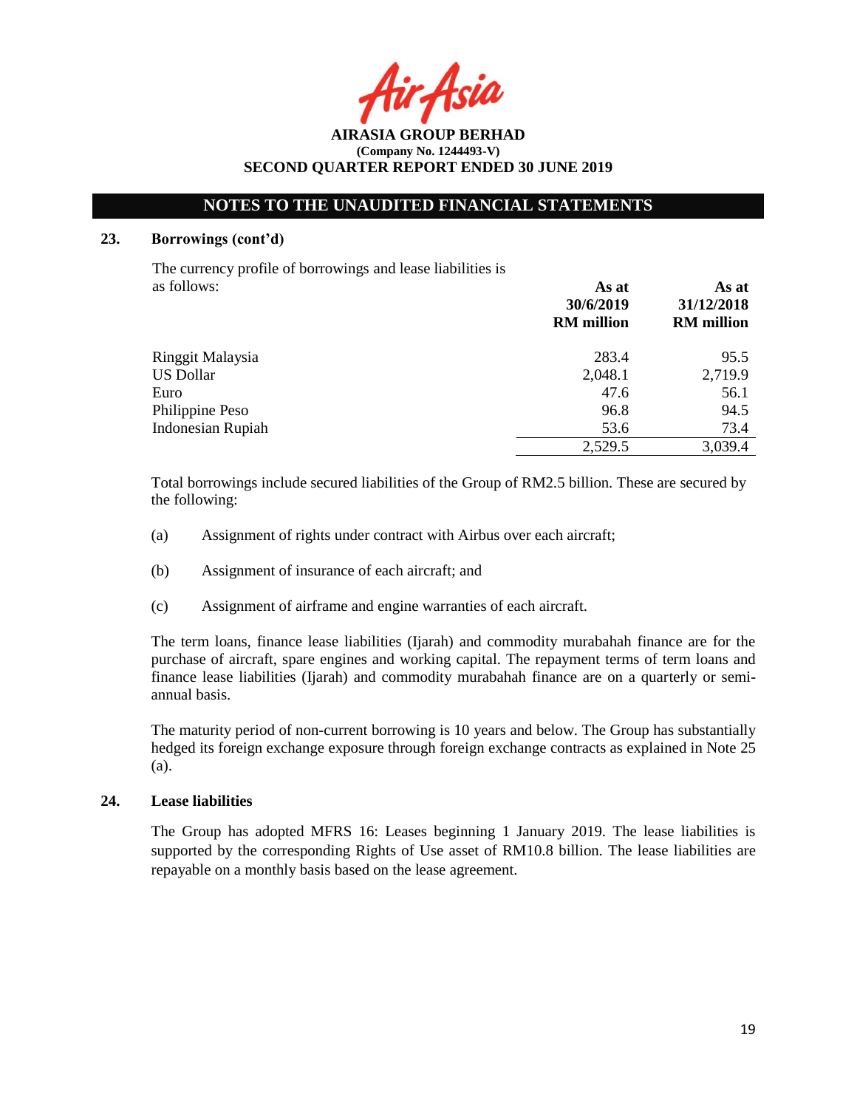Asia

**AIRASIA GROUP BERHAD (Company No. 1244493-V) SECOND QUARTER REPORT ENDED 30 JUNE 2019**

#### **23. Borrowings (cont'd)**

The currency profile of borrowings and lease liabilities is as follows: **As at**

|                          | .<br>30/6/2019<br><b>RM</b> million | 31/12/2018<br><b>RM</b> million |
|--------------------------|-------------------------------------|---------------------------------|
| Ringgit Malaysia         | 283.4                               | 95.5                            |
| US Dollar                | 2,048.1                             | 2,719.9                         |
| Euro                     | 47.6                                | 56.1                            |
| Philippine Peso          | 96.8                                | 94.5                            |
| <b>Indonesian Rupiah</b> | 53.6                                | 73.4                            |
|                          | 2,529.5                             | 3,039.4                         |

Total borrowings include secured liabilities of the Group of RM2.5 billion. These are secured by the following:

- (a) Assignment of rights under contract with Airbus over each aircraft;
- (b) Assignment of insurance of each aircraft; and
- (c) Assignment of airframe and engine warranties of each aircraft.

The term loans, finance lease liabilities (Ijarah) and commodity murabahah finance are for the purchase of aircraft, spare engines and working capital. The repayment terms of term loans and finance lease liabilities (Ijarah) and commodity murabahah finance are on a quarterly or semiannual basis.

The maturity period of non-current borrowing is 10 years and below. The Group has substantially hedged its foreign exchange exposure through foreign exchange contracts as explained in Note 25 (a).

### **24. Lease liabilities**

The Group has adopted MFRS 16: Leases beginning 1 January 2019. The lease liabilities is supported by the corresponding Rights of Use asset of RM10.8 billion. The lease liabilities are repayable on a monthly basis based on the lease agreement.

**As at**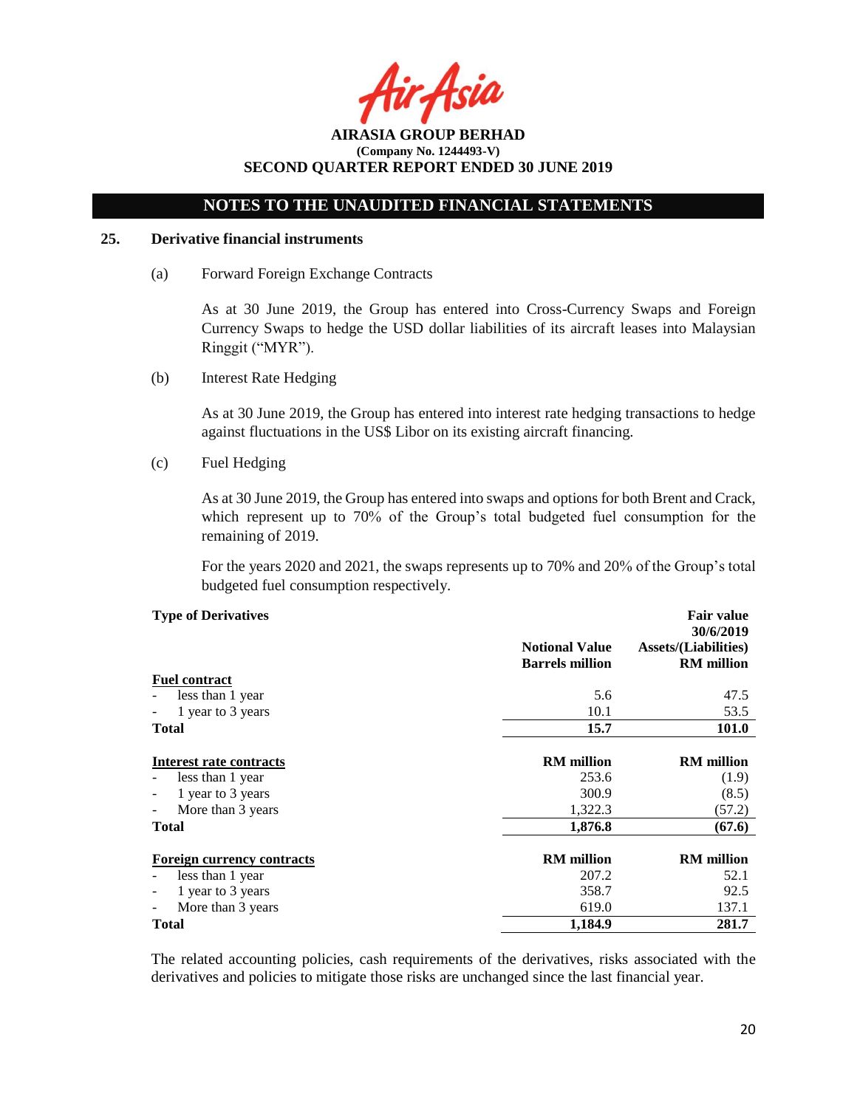Asia

# **NOTES TO THE UNAUDITED FINANCIAL STATEMENTS**

#### **25. Derivative financial instruments**

(a) Forward Foreign Exchange Contracts

As at 30 June 2019, the Group has entered into Cross-Currency Swaps and Foreign Currency Swaps to hedge the USD dollar liabilities of its aircraft leases into Malaysian Ringgit ("MYR").

(b) Interest Rate Hedging

As at 30 June 2019, the Group has entered into interest rate hedging transactions to hedge against fluctuations in the US\$ Libor on its existing aircraft financing.

(c) Fuel Hedging

As at 30 June 2019, the Group has entered into swaps and options for both Brent and Crack, which represent up to 70% of the Group's total budgeted fuel consumption for the remaining of 2019.

For the years 2020 and 2021, the swaps represents up to 70% and 20% of the Group's total budgeted fuel consumption respectively.

#### **Type of Derivatives**

| <b>Type of Derivatives</b>                    |                                                 | <b>Fair value</b>                                             |
|-----------------------------------------------|-------------------------------------------------|---------------------------------------------------------------|
|                                               | <b>Notional Value</b><br><b>Barrels million</b> | 30/6/2019<br><b>Assets/(Liabilities)</b><br><b>RM</b> million |
| <b>Fuel contract</b>                          |                                                 |                                                               |
| less than 1 year                              | 5.6                                             | 47.5                                                          |
| 1 year to 3 years                             | 10.1                                            | 53.5                                                          |
| Total                                         | 15.7                                            | <b>101.0</b>                                                  |
|                                               |                                                 |                                                               |
| Interest rate contracts                       | <b>RM</b> million                               | <b>RM</b> million                                             |
| less than 1 year                              | 253.6                                           | (1.9)                                                         |
| 1 year to 3 years                             | 300.9                                           | (8.5)                                                         |
| More than 3 years<br>$\overline{\phantom{0}}$ | 1,322.3                                         | (57.2)                                                        |
| Total                                         | 1,876.8                                         | (67.6)                                                        |
| <b>Foreign currency contracts</b>             | <b>RM</b> million                               | <b>RM</b> million                                             |
| less than 1 year                              | 207.2                                           | 52.1                                                          |
| 1 year to 3 years<br>۰                        | 358.7                                           | 92.5                                                          |
| More than 3 years                             | 619.0                                           | 137.1                                                         |
| <b>Total</b>                                  | 1,184.9                                         | 281.7                                                         |

The related accounting policies, cash requirements of the derivatives, risks associated with the derivatives and policies to mitigate those risks are unchanged since the last financial year.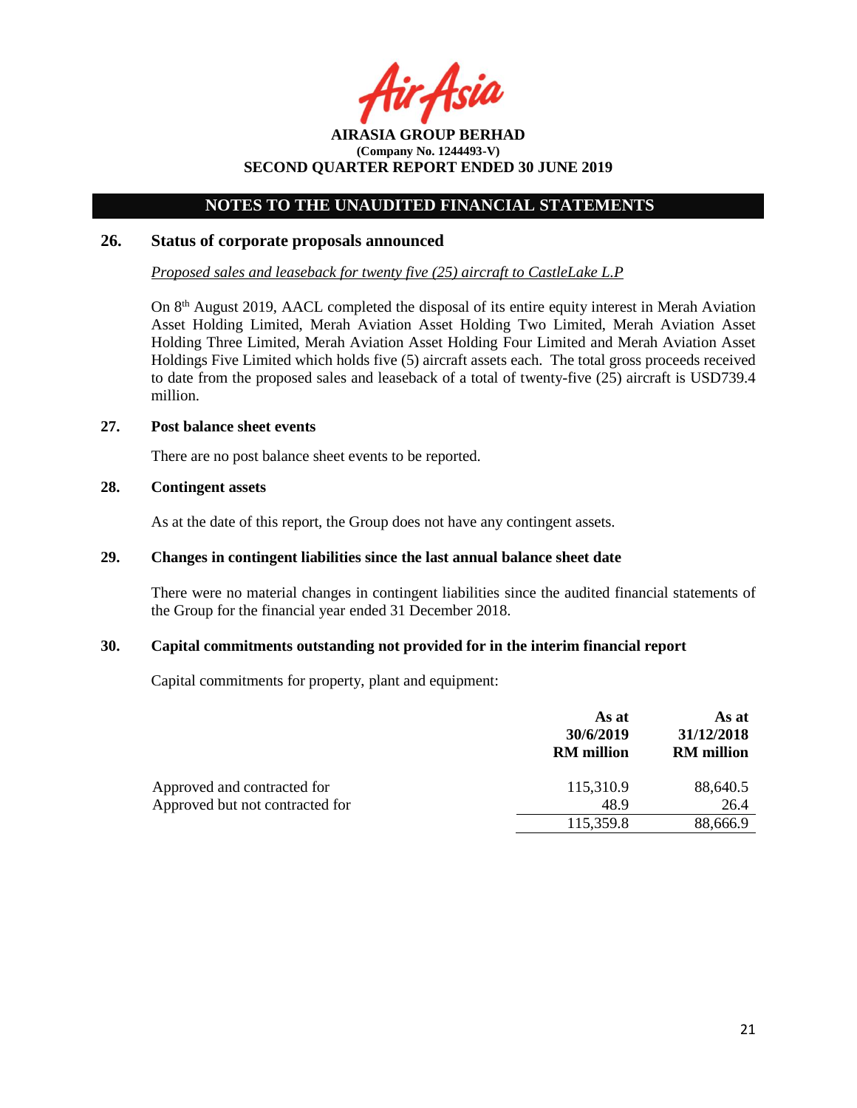Asia

### **NOTES TO THE UNAUDITED FINANCIAL STATEMENTS**

#### **26. Status of corporate proposals announced**

*Proposed sales and leaseback for twenty five (25) aircraft to CastleLake L.P*

On 8<sup>th</sup> August 2019, AACL completed the disposal of its entire equity interest in Merah Aviation Asset Holding Limited, Merah Aviation Asset Holding Two Limited, Merah Aviation Asset Holding Three Limited, Merah Aviation Asset Holding Four Limited and Merah Aviation Asset Holdings Five Limited which holds five (5) aircraft assets each. The total gross proceeds received to date from the proposed sales and leaseback of a total of twenty-five (25) aircraft is USD739.4 million.

#### **27. Post balance sheet events**

There are no post balance sheet events to be reported.

### **28. Contingent assets**

As at the date of this report, the Group does not have any contingent assets.

## **29. Changes in contingent liabilities since the last annual balance sheet date**

There were no material changes in contingent liabilities since the audited financial statements of the Group for the financial year ended 31 December 2018.

#### **30. Capital commitments outstanding not provided for in the interim financial report**

Capital commitments for property, plant and equipment:

|                                 | As at<br>30/6/2019<br><b>RM</b> million | As at<br>31/12/2018<br><b>RM</b> million |
|---------------------------------|-----------------------------------------|------------------------------------------|
| Approved and contracted for     | 115,310.9                               | 88,640.5                                 |
| Approved but not contracted for | 48.9                                    | 26.4                                     |
|                                 | 115,359.8                               | 88,666.9                                 |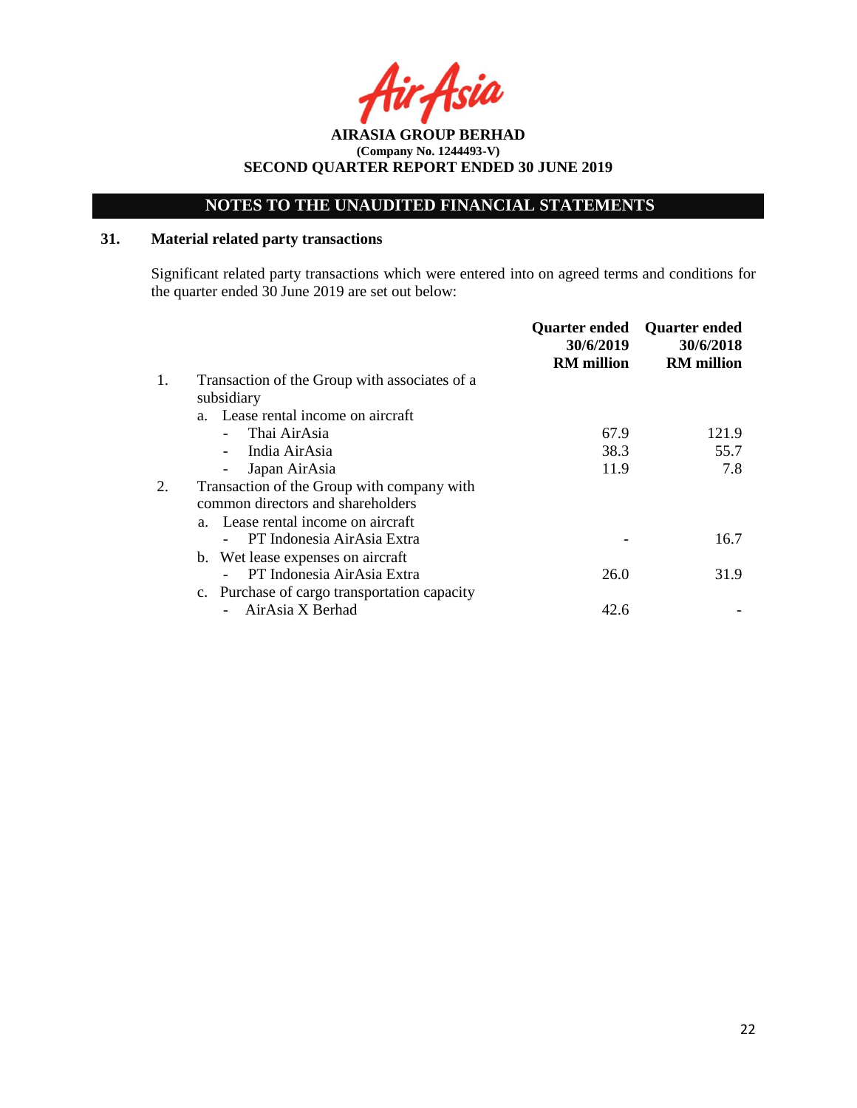# **NOTES TO THE UNAUDITED FINANCIAL STATEMENTS**

### **31. Material related party transactions**

Significant related party transactions which were entered into on agreed terms and conditions for the quarter ended 30 June 2019 are set out below:

|    |                                               | <b>Quarter ended</b><br>30/6/2019<br><b>RM</b> million | <b>Quarter ended</b><br>30/6/2018<br><b>RM</b> million |
|----|-----------------------------------------------|--------------------------------------------------------|--------------------------------------------------------|
| 1. | Transaction of the Group with associates of a |                                                        |                                                        |
|    | subsidiary                                    |                                                        |                                                        |
|    | a. Lease rental income on aircraft            |                                                        |                                                        |
|    | Thai AirAsia                                  | 67.9                                                   | 121.9                                                  |
|    | India AirAsia                                 | 38.3                                                   | 55.7                                                   |
|    | Japan AirAsia                                 | 11.9                                                   | 7.8                                                    |
|    | Transaction of the Group with company with    |                                                        |                                                        |
|    | common directors and shareholders             |                                                        |                                                        |
|    | a. Lease rental income on aircraft            |                                                        |                                                        |
|    | PT Indonesia AirAsia Extra                    |                                                        | 16.7                                                   |
|    | b. Wet lease expenses on aircraft             |                                                        |                                                        |
|    | PT Indonesia AirAsia Extra                    | 26.0                                                   | 31.9                                                   |
|    | c. Purchase of cargo transportation capacity  |                                                        |                                                        |
|    | AirAsia X Berhad                              | 42.6                                                   |                                                        |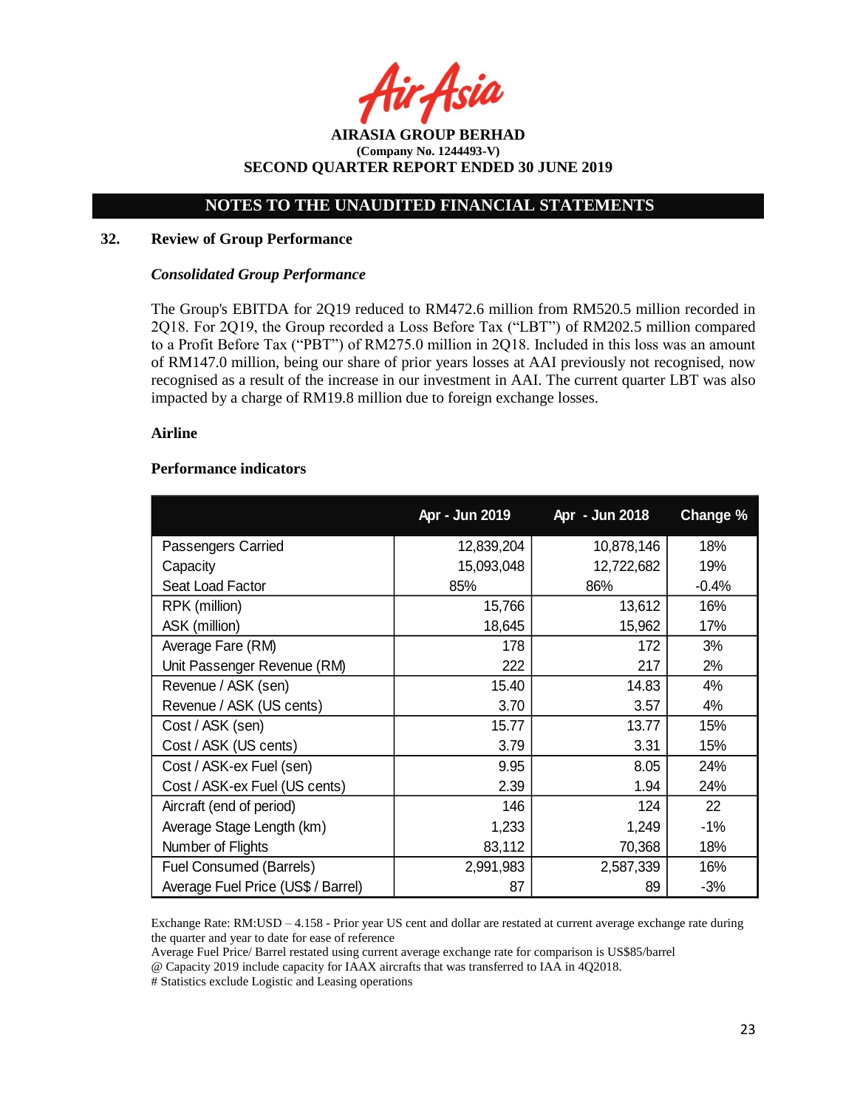**AIRASIA GROUP BERHAD (Company No. 1244493-V) SECOND QUARTER REPORT ENDED 30 JUNE 2019**

#### **32. Review of Group Performance**

#### *Consolidated Group Performance*

The Group's EBITDA for 2Q19 reduced to RM472.6 million from RM520.5 million recorded in 2Q18. For 2Q19, the Group recorded a Loss Before Tax ("LBT") of RM202.5 million compared to a Profit Before Tax ("PBT") of RM275.0 million in 2Q18. Included in this loss was an amount of RM147.0 million, being our share of prior years losses at AAI previously not recognised, now recognised as a result of the increase in our investment in AAI. The current quarter LBT was also impacted by a charge of RM19.8 million due to foreign exchange losses.

#### **Airline**

#### **Performance indicators**

|                                    | Apr - Jun 2019 | Apr - Jun 2018 | Change % |
|------------------------------------|----------------|----------------|----------|
| Passengers Carried                 | 12,839,204     | 10,878,146     | 18%      |
| Capacity                           | 15,093,048     | 12,722,682     | 19%      |
| Seat Load Factor                   | 85%            | 86%            | $-0.4%$  |
| RPK (million)                      | 15,766         | 13,612         | 16%      |
| ASK (million)                      | 18,645         | 15,962         | 17%      |
| Average Fare (RM)                  | 178            | 172            | 3%       |
| Unit Passenger Revenue (RM)        | 222            | 217            | 2%       |
| Revenue / ASK (sen)                | 15.40          | 14.83          | 4%       |
| Revenue / ASK (US cents)           | 3.70           | 3.57           | 4%       |
| Cost / ASK (sen)                   | 15.77          | 13.77          | 15%      |
| Cost / ASK (US cents)              | 3.79           | 3.31           | 15%      |
| Cost / ASK-ex Fuel (sen)           | 9.95           | 8.05           | 24%      |
| Cost / ASK-ex Fuel (US cents)      | 2.39           | 1.94           | 24%      |
| Aircraft (end of period)           | 146            | 124            | 22       |
| Average Stage Length (km)          | 1,233          | 1,249          | $-1%$    |
| Number of Flights                  | 83,112         | 70,368         | 18%      |
| <b>Fuel Consumed (Barrels)</b>     | 2,991,983      | 2,587,339      | 16%      |
| Average Fuel Price (US\$ / Barrel) | 87             | 89             | $-3%$    |

Exchange Rate: RM:USD – 4.158 - Prior year US cent and dollar are restated at current average exchange rate during the quarter and year to date for ease of reference

Average Fuel Price/ Barrel restated using current average exchange rate for comparison is US\$85/barrel

@ Capacity 2019 include capacity for IAAX aircrafts that was transferred to IAA in 4Q2018.

# Statistics exclude Logistic and Leasing operations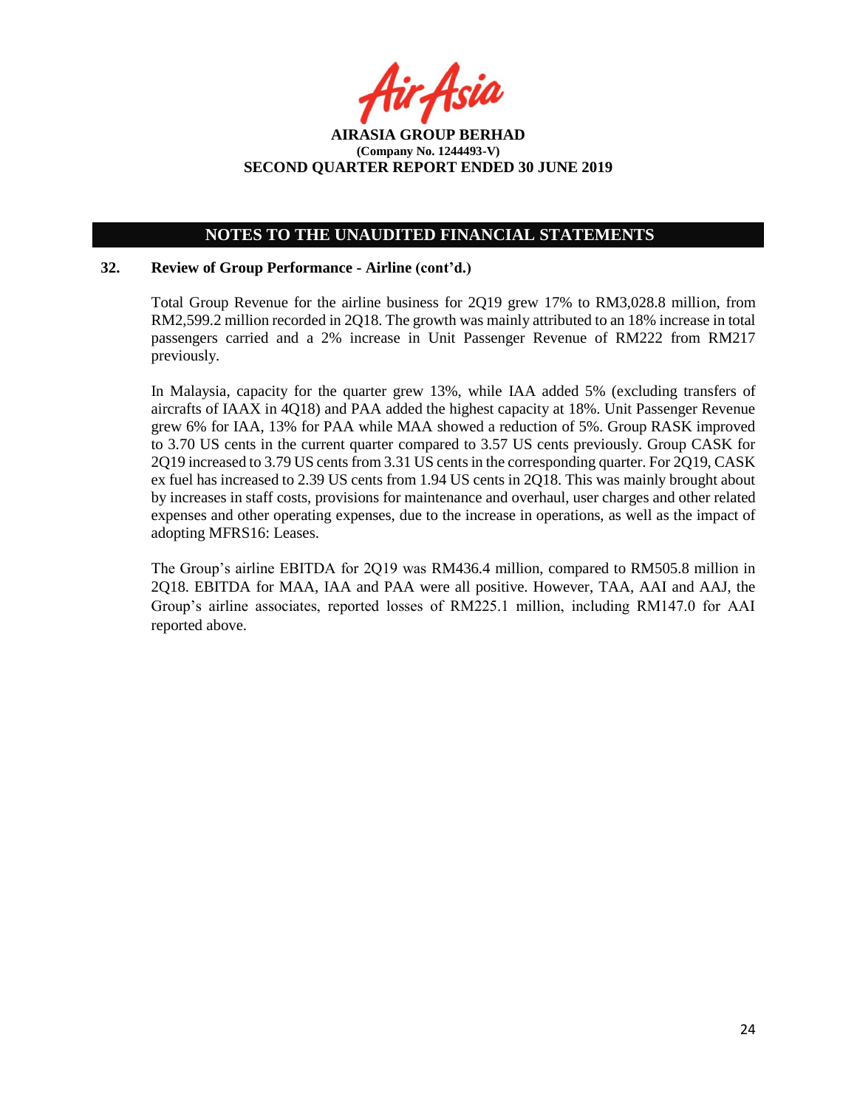## **NOTES TO THE UNAUDITED FINANCIAL STATEMENTS**

#### **32. Review of Group Performance - Airline (cont'd.)**

Total Group Revenue for the airline business for 2Q19 grew 17% to RM3,028.8 million, from RM2,599.2 million recorded in 2Q18. The growth was mainly attributed to an 18% increase in total passengers carried and a 2% increase in Unit Passenger Revenue of RM222 from RM217 previously.

In Malaysia, capacity for the quarter grew 13%, while IAA added 5% (excluding transfers of aircrafts of IAAX in 4Q18) and PAA added the highest capacity at 18%. Unit Passenger Revenue grew 6% for IAA, 13% for PAA while MAA showed a reduction of 5%. Group RASK improved to 3.70 US cents in the current quarter compared to 3.57 US cents previously. Group CASK for 2Q19 increased to 3.79 US cents from 3.31 US cents in the corresponding quarter. For 2Q19, CASK ex fuel has increased to 2.39 US cents from 1.94 US cents in 2Q18. This was mainly brought about by increases in staff costs, provisions for maintenance and overhaul, user charges and other related expenses and other operating expenses, due to the increase in operations, as well as the impact of adopting MFRS16: Leases.

The Group's airline EBITDA for 2Q19 was RM436.4 million, compared to RM505.8 million in 2Q18. EBITDA for MAA, IAA and PAA were all positive. However, TAA, AAI and AAJ, the Group's airline associates, reported losses of RM225.1 million, including RM147.0 for AAI reported above.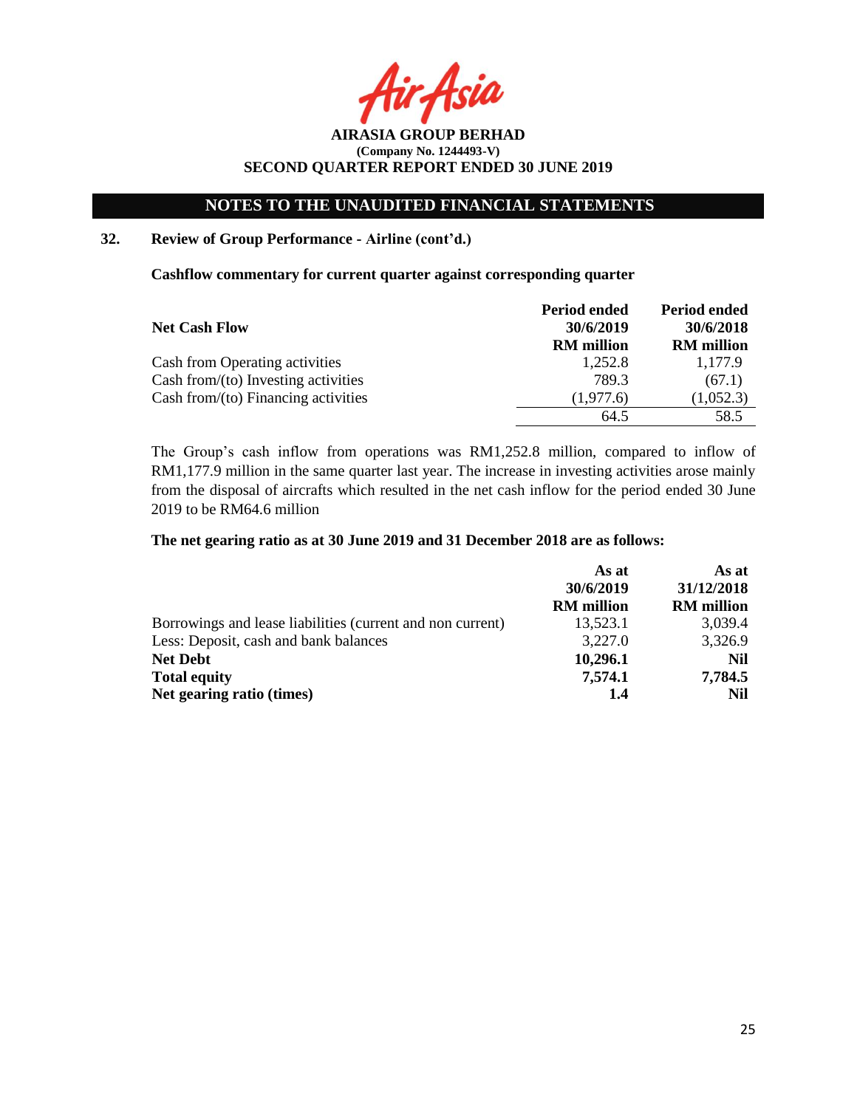**AIRASIA GROUP BERHAD (Company No. 1244493-V) SECOND QUARTER REPORT ENDED 30 JUNE 2019**

### **32. Review of Group Performance - Airline (cont'd.)**

**Cashflow commentary for current quarter against corresponding quarter**

|                                        | Period ended      | Period ended      |
|----------------------------------------|-------------------|-------------------|
| <b>Net Cash Flow</b>                   | 30/6/2019         | 30/6/2018         |
|                                        | <b>RM</b> million | <b>RM</b> million |
| Cash from Operating activities         | 1,252.8           | 1,177.9           |
| Cash from/ $(to)$ Investing activities | 789.3             | (67.1)            |
| Cash from/ $(to)$ Financing activities | (1,977.6)         | (1,052.3)         |
|                                        | 64.5              | 58.5              |

The Group's cash inflow from operations was RM1,252.8 million, compared to inflow of RM1,177.9 million in the same quarter last year. The increase in investing activities arose mainly from the disposal of aircrafts which resulted in the net cash inflow for the period ended 30 June 2019 to be RM64.6 million

#### **The net gearing ratio as at 30 June 2019 and 31 December 2018 are as follows:**

|                                                            | As at             | As at             |
|------------------------------------------------------------|-------------------|-------------------|
|                                                            | 30/6/2019         | 31/12/2018        |
|                                                            | <b>RM</b> million | <b>RM</b> million |
| Borrowings and lease liabilities (current and non current) | 13,523.1          | 3,039.4           |
| Less: Deposit, cash and bank balances                      | 3,227.0           | 3,326.9           |
| <b>Net Debt</b>                                            | 10,296.1          | Nil               |
| <b>Total equity</b>                                        | 7,574.1           | 7,784.5           |
| Net gearing ratio (times)                                  | 1.4               | Nil               |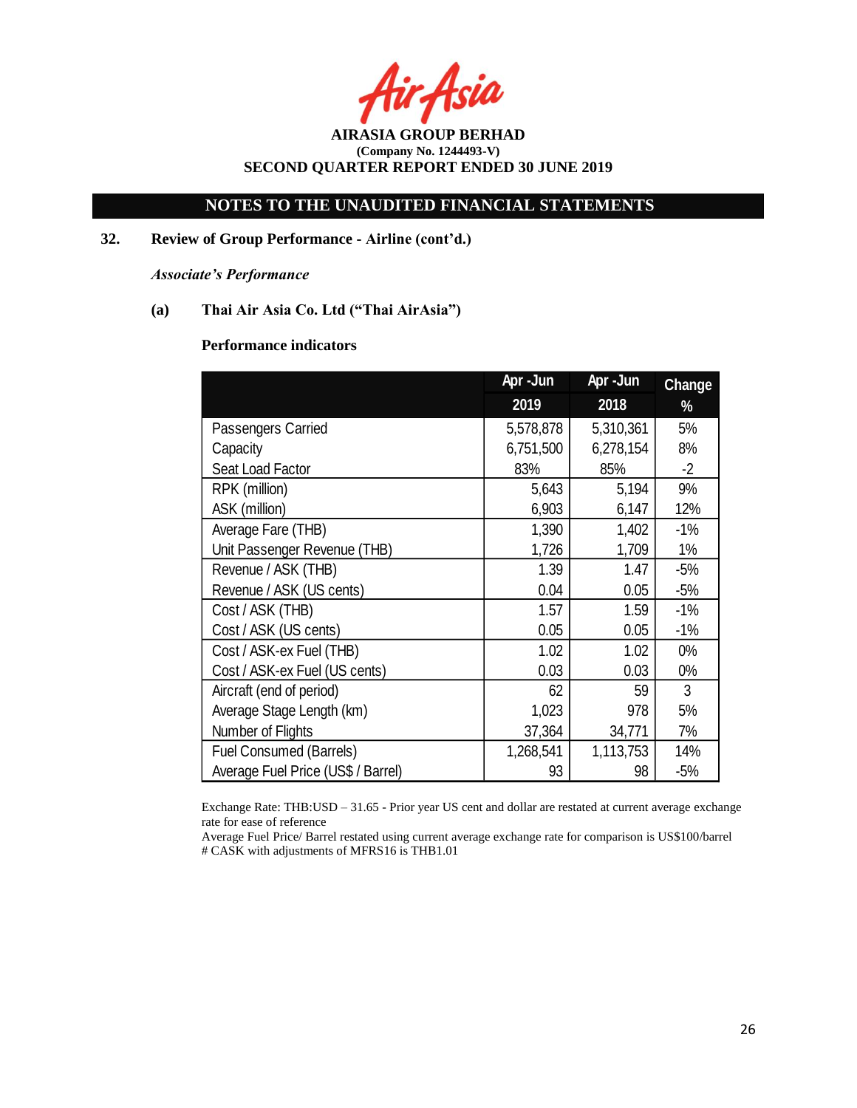Asia

**AIRASIA GROUP BERHAD (Company No. 1244493-V) SECOND QUARTER REPORT ENDED 30 JUNE 2019**

### **32. Review of Group Performance - Airline (cont'd.)**

*Associate's Performance*

### **(a) Thai Air Asia Co. Ltd ("Thai AirAsia")**

#### **Performance indicators**

|                                    | Apr-Jun   | Apr-Jun   | <b>Change</b> |
|------------------------------------|-----------|-----------|---------------|
|                                    | 2019      | 2018      | %             |
| Passengers Carried                 | 5,578,878 | 5,310,361 | 5%            |
| Capacity                           | 6,751,500 | 6,278,154 | 8%            |
| Seat Load Factor                   | 83%       | 85%       | $-2$          |
| RPK (million)                      | 5,643     | 5,194     | 9%            |
| ASK (million)                      | 6,903     | 6,147     | 12%           |
| Average Fare (THB)                 | 1,390     | 1,402     | $-1%$         |
| Unit Passenger Revenue (THB)       | 1,726     | 1,709     | $1\%$         |
| Revenue / ASK (THB)                | 1.39      | 1.47      | $-5%$         |
| Revenue / ASK (US cents)           | 0.04      | 0.05      | $-5%$         |
| Cost / ASK (THB)                   | 1.57      | 1.59      | $-1%$         |
| Cost / ASK (US cents)              | 0.05      | 0.05      | $-1%$         |
| Cost / ASK-ex Fuel (THB)           | 1.02      | 1.02      | $0\%$         |
| Cost / ASK-ex Fuel (US cents)      | 0.03      | 0.03      | $0\%$         |
| Aircraft (end of period)           | 62        | 59        | 3             |
| Average Stage Length (km)          | 1,023     | 978       | 5%            |
| Number of Flights                  | 37,364    | 34,771    | 7%            |
| Fuel Consumed (Barrels)            | 1,268,541 | 1,113,753 | 14%           |
| Average Fuel Price (US\$ / Barrel) | 93        | 98        | $-5%$         |

Exchange Rate: THB:USD – 31.65 - Prior year US cent and dollar are restated at current average exchange rate for ease of reference

Average Fuel Price/ Barrel restated using current average exchange rate for comparison is US\$100/barrel # CASK with adjustments of MFRS16 is THB1.01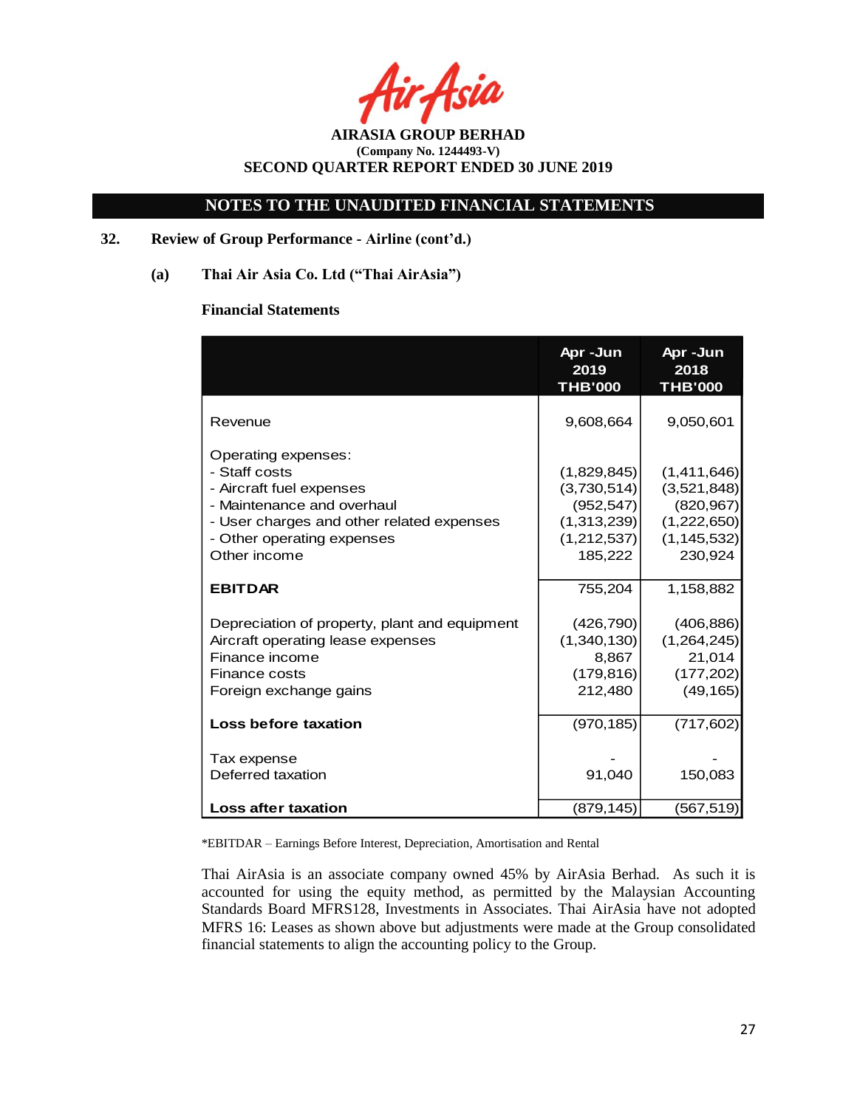Asia

### **NOTES TO THE UNAUDITED FINANCIAL STATEMENTS**

### **32. Review of Group Performance - Airline (cont'd.)**

**(a) Thai Air Asia Co. Ltd ("Thai AirAsia")**

#### **Financial Statements**

|                                                                                                                                                                                           | Apr-Jun<br>2019<br><b>THB'000</b>                                                 | Apr-Jun<br>2018<br><b>THB'000</b>                                                   |
|-------------------------------------------------------------------------------------------------------------------------------------------------------------------------------------------|-----------------------------------------------------------------------------------|-------------------------------------------------------------------------------------|
| Revenue                                                                                                                                                                                   | 9,608,664                                                                         | 9,050,601                                                                           |
| Operating expenses:<br>- Staff costs<br>- Aircraft fuel expenses<br>- Maintenance and overhaul<br>- User charges and other related expenses<br>- Other operating expenses<br>Other income | (1,829,845)<br>(3,730,514)<br>(952, 547)<br>(1,313,239)<br>(1,212,537)<br>185,222 | (1,411,646)<br>(3,521,848)<br>(820, 967)<br>(1,222,650)<br>(1, 145, 532)<br>230,924 |
| <b>EBITDAR</b>                                                                                                                                                                            | 755,204                                                                           | 1,158,882                                                                           |
| Depreciation of property, plant and equipment<br>Aircraft operating lease expenses<br>Finance income<br>Finance costs<br>Foreign exchange gains                                           | (426, 790)<br>(1,340,130)<br>8,867<br>(179, 816)<br>212,480                       | (406, 886)<br>(1,264,245)<br>21,014<br>(177, 202)<br>(49, 165)                      |
| Loss before taxation                                                                                                                                                                      | (970, 185)                                                                        | (717, 602)                                                                          |
| Tax expense<br>Deferred taxation                                                                                                                                                          | 91,040                                                                            | 150,083                                                                             |
| <b>Loss after taxation</b>                                                                                                                                                                | (879, 145)                                                                        | (567, 519)                                                                          |

\*EBITDAR – Earnings Before Interest, Depreciation, Amortisation and Rental

Thai AirAsia is an associate company owned 45% by AirAsia Berhad. As such it is accounted for using the equity method, as permitted by the Malaysian Accounting Standards Board MFRS128, Investments in Associates. Thai AirAsia have not adopted MFRS 16: Leases as shown above but adjustments were made at the Group consolidated financial statements to align the accounting policy to the Group.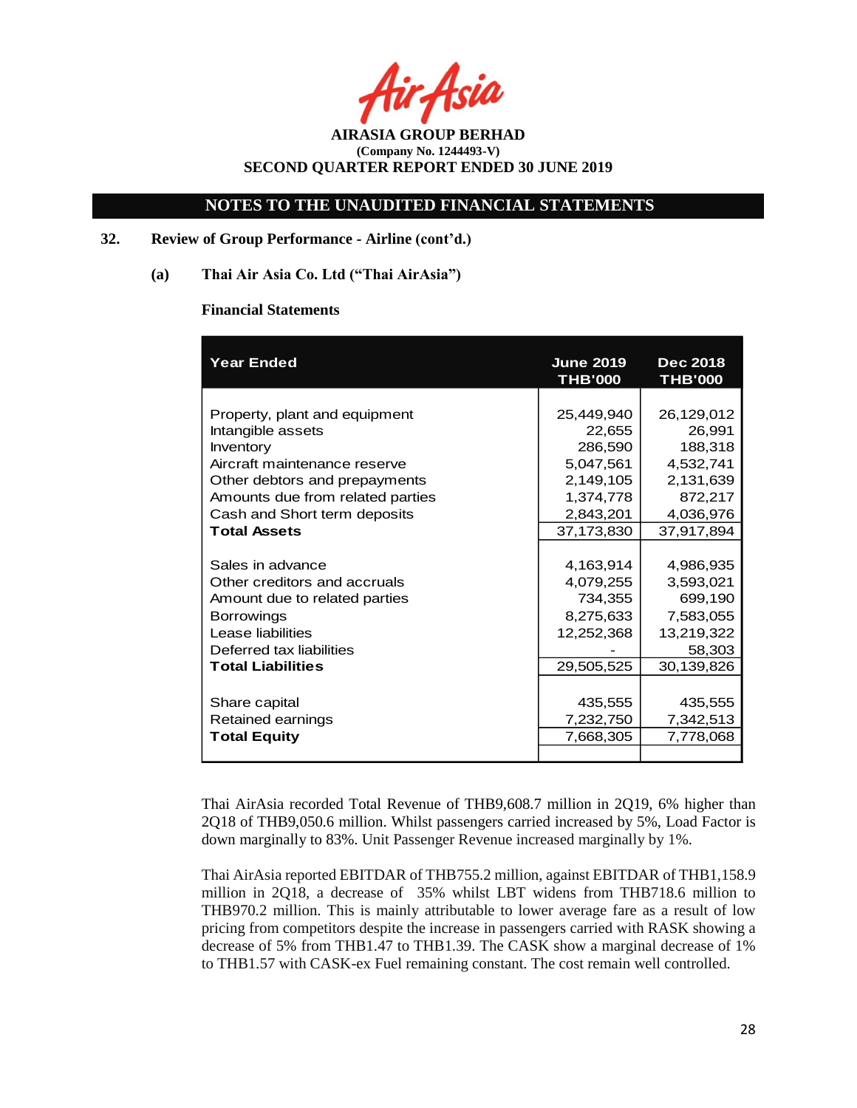### **NOTES TO THE UNAUDITED FINANCIAL STATEMENTS**

### **32. Review of Group Performance - Airline (cont'd.)**

**(a) Thai Air Asia Co. Ltd ("Thai AirAsia")**

#### **Financial Statements**

| <b>Year Ended</b>                | <b>June 2019</b><br><b>THB'000</b> | <b>Dec 2018</b><br><b>THB'000</b> |
|----------------------------------|------------------------------------|-----------------------------------|
|                                  |                                    |                                   |
| Property, plant and equipment    | 25,449,940                         | 26,129,012                        |
| Intangible assets                | 22,655                             | 26,991                            |
| Inventory                        | 286,590                            | 188,318                           |
| Aircraft maintenance reserve     | 5,047,561                          | 4,532,741                         |
| Other debtors and prepayments    | 2,149,105                          | 2,131,639                         |
| Amounts due from related parties | 1,374,778                          | 872,217                           |
| Cash and Short term deposits     | 2,843,201                          | 4,036,976                         |
| <b>Total Assets</b>              | 37,173,830                         | 37,917,894                        |
|                                  |                                    |                                   |
| Sales in advance                 | 4,163,914                          | 4,986,935                         |
| Other creditors and accruals     | 4,079,255                          | 3,593,021                         |
| Amount due to related parties    | 734,355                            | 699,190                           |
| <b>Borrowings</b>                | 8,275,633                          | 7,583,055                         |
| Lease liabilities                | 12,252,368                         | 13,219,322                        |
| Deferred tax liabilities         |                                    | 58,303                            |
| <b>Total Liabilities</b>         | 29,505,525                         | 30,139,826                        |
|                                  |                                    |                                   |
| Share capital                    | 435,555                            | 435,555                           |
| Retained earnings                | 7,232,750                          | 7,342,513                         |
| <b>Total Equity</b>              | 7,668,305                          | 7,778,068                         |
|                                  |                                    |                                   |

Thai AirAsia recorded Total Revenue of THB9,608.7 million in 2Q19, 6% higher than 2Q18 of THB9,050.6 million. Whilst passengers carried increased by 5%, Load Factor is down marginally to 83%. Unit Passenger Revenue increased marginally by 1%.

Thai AirAsia reported EBITDAR of THB755.2 million, against EBITDAR of THB1,158.9 million in 2Q18, a decrease of 35% whilst LBT widens from THB718.6 million to THB970.2 million. This is mainly attributable to lower average fare as a result of low pricing from competitors despite the increase in passengers carried with RASK showing a decrease of 5% from THB1.47 to THB1.39. The CASK show a marginal decrease of 1% to THB1.57 with CASK-ex Fuel remaining constant. The cost remain well controlled.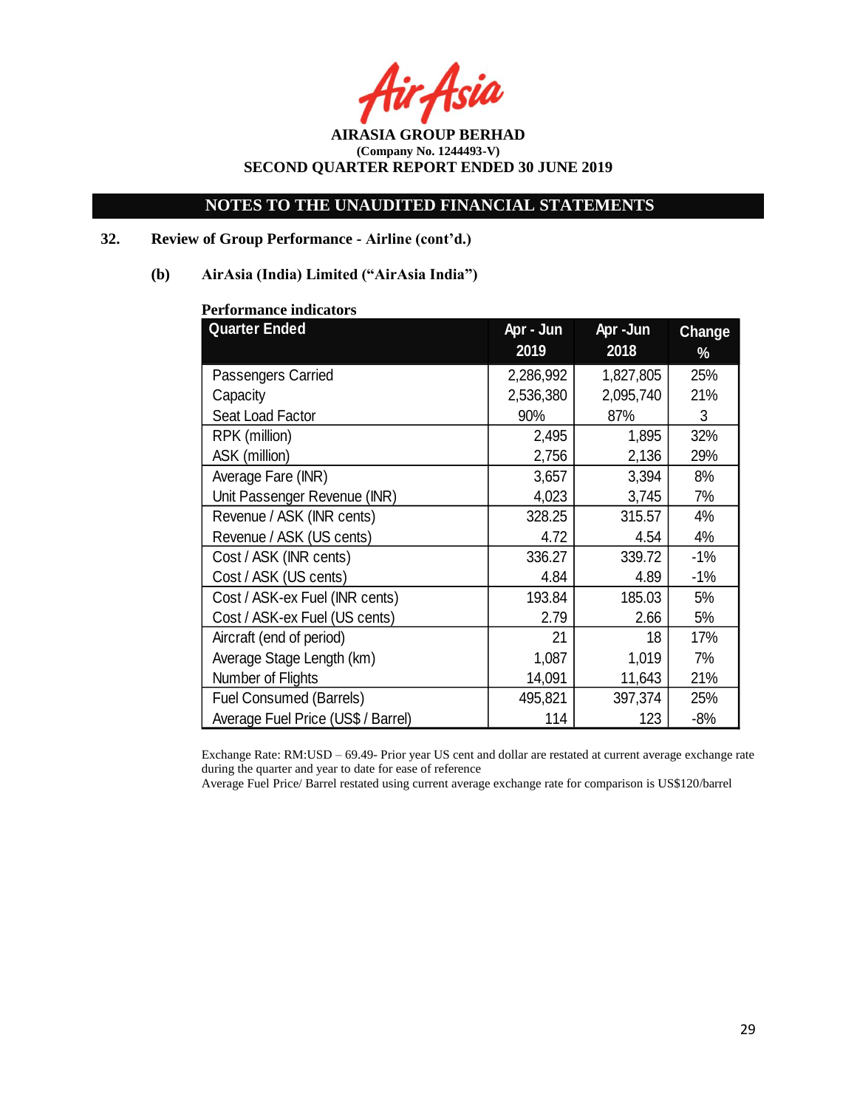Asia

**AIRASIA GROUP BERHAD (Company No. 1244493-V) SECOND QUARTER REPORT ENDED 30 JUNE 2019**

### **32. Review of Group Performance - Airline (cont'd.)**

#### **(b) AirAsia (India) Limited ("AirAsia India")**

| <b>Quarter Ended</b>               | Apr - Jun<br>2019 | Apr -Jun<br>2018 | Change<br>% |
|------------------------------------|-------------------|------------------|-------------|
| Passengers Carried                 | 2,286,992         | 1,827,805        | 25%         |
| Capacity                           | 2,536,380         | 2,095,740        | 21%         |
| Seat Load Factor                   | 90%               | 87%              | 3           |
| RPK (million)                      | 2,495             | 1,895            | 32%         |
| ASK (million)                      | 2,756             | 2,136            | 29%         |
| Average Fare (INR)                 | 3,657             | 3,394            | 8%          |
| Unit Passenger Revenue (INR)       | 4,023             | 3,745            | 7%          |
| Revenue / ASK (INR cents)          | 328.25            | 315.57           | 4%          |
| Revenue / ASK (US cents)           | 4.72              | 4.54             | 4%          |
| Cost / ASK (INR cents)             | 336.27            | 339.72           | $-1%$       |
| Cost / ASK (US cents)              | 4.84              | 4.89             | $-1%$       |
| Cost / ASK-ex Fuel (INR cents)     | 193.84            | 185.03           | 5%          |
| Cost / ASK-ex Fuel (US cents)      | 2.79              | 2.66             | 5%          |
| Aircraft (end of period)           | 21                | 18               | 17%         |
| Average Stage Length (km)          | 1,087             | 1,019            | 7%          |
| Number of Flights                  | 14,091            | 11,643           | 21%         |
| Fuel Consumed (Barrels)            | 495,821           | 397,374          | 25%         |
| Average Fuel Price (US\$ / Barrel) | 114               | 123              | $-8%$       |

#### **Performance indicators**

Exchange Rate: RM:USD – 69.49- Prior year US cent and dollar are restated at current average exchange rate during the quarter and year to date for ease of reference

Average Fuel Price/ Barrel restated using current average exchange rate for comparison is US\$120/barrel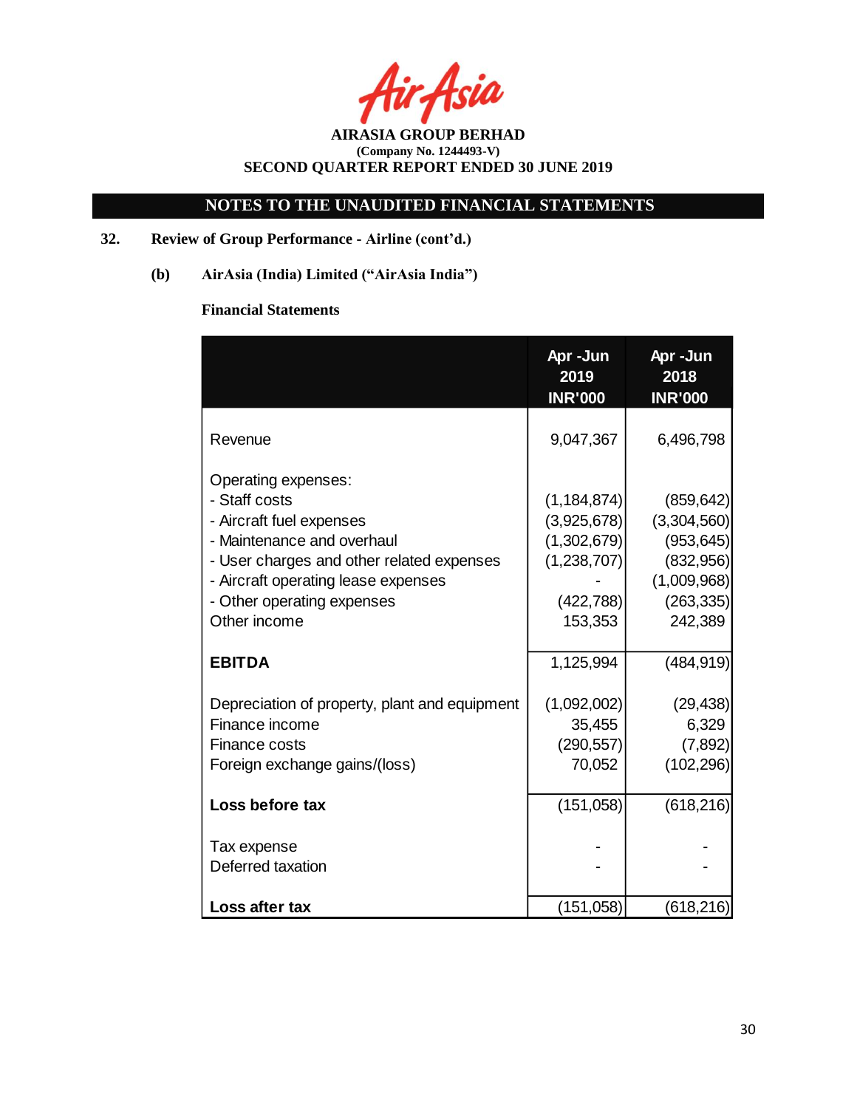Asia

**AIRASIA GROUP BERHAD (Company No. 1244493-V) SECOND QUARTER REPORT ENDED 30 JUNE 2019**

# **32. Review of Group Performance - Airline (cont'd.)**

**(b) AirAsia (India) Limited ("AirAsia India")**

# **Financial Statements**

|                                                                                                                                                                                                                                  | Apr-Jun<br>2019<br><b>INR'000</b>                                                   | Apr-Jun<br>2018<br><b>INR'000</b>                                                            |
|----------------------------------------------------------------------------------------------------------------------------------------------------------------------------------------------------------------------------------|-------------------------------------------------------------------------------------|----------------------------------------------------------------------------------------------|
| Revenue                                                                                                                                                                                                                          | 9,047,367                                                                           | 6,496,798                                                                                    |
| Operating expenses:<br>- Staff costs<br>- Aircraft fuel expenses<br>- Maintenance and overhaul<br>- User charges and other related expenses<br>- Aircraft operating lease expenses<br>- Other operating expenses<br>Other income | (1, 184, 874)<br>(3,925,678)<br>(1,302,679)<br>(1,238,707)<br>(422, 788)<br>153,353 | (859, 642)<br>(3,304,560)<br>(953, 645)<br>(832,956)<br>(1,009,968)<br>(263, 335)<br>242,389 |
| <b>EBITDA</b>                                                                                                                                                                                                                    | 1,125,994                                                                           | (484, 919)                                                                                   |
| Depreciation of property, plant and equipment<br>Finance income<br>Finance costs<br>Foreign exchange gains/(loss)                                                                                                                | (1,092,002)<br>35,455<br>(290, 557)<br>70,052                                       | (29, 438)<br>6,329<br>(7,892)<br>(102, 296)                                                  |
| Loss before tax                                                                                                                                                                                                                  | (151,058)                                                                           | (618, 216)                                                                                   |
| Tax expense<br>Deferred taxation                                                                                                                                                                                                 |                                                                                     |                                                                                              |
| Loss after tax                                                                                                                                                                                                                   | (151, 058)                                                                          | (618, 216)                                                                                   |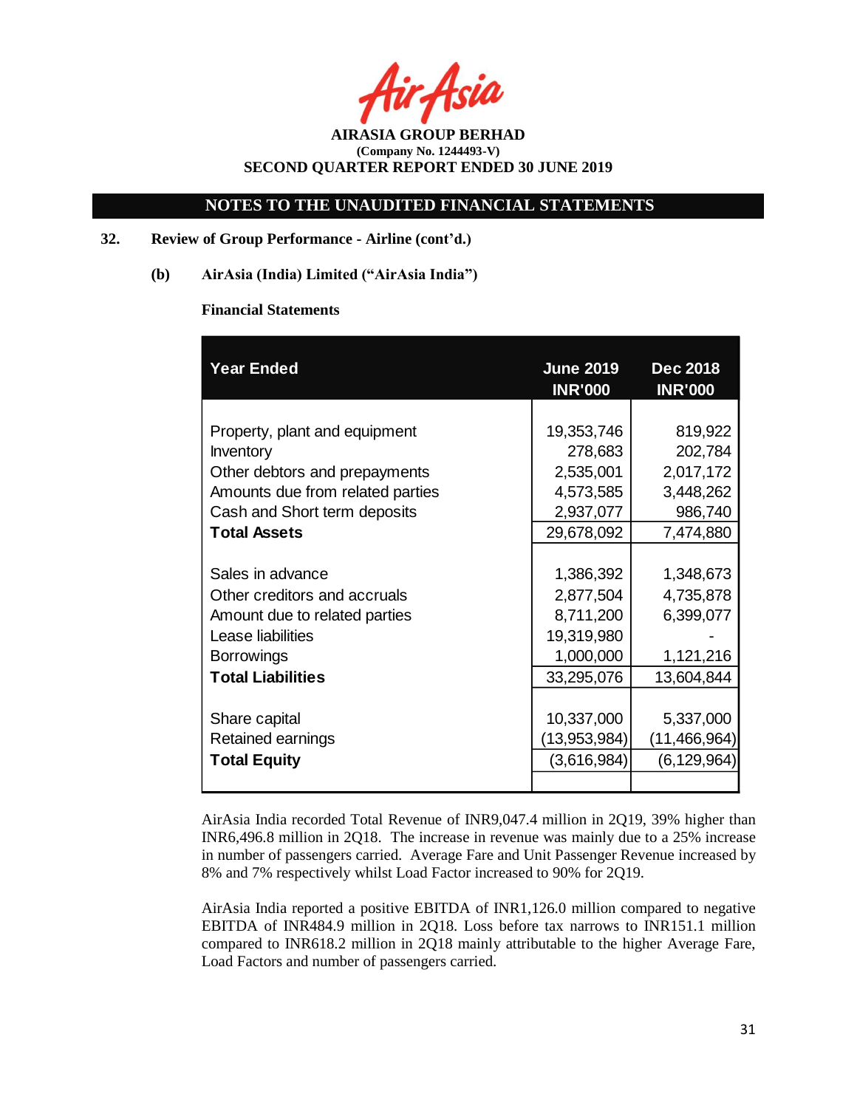**AIRASIA GROUP BERHAD (Company No. 1244493-V) SECOND QUARTER REPORT ENDED 30 JUNE 2019**

### **32. Review of Group Performance - Airline (cont'd.)**

**(b) AirAsia (India) Limited ("AirAsia India")**

#### **Financial Statements**

| <b>Year Ended</b>                | <b>June 2019</b><br><b>INR'000</b> | <b>Dec 2018</b><br><b>INR'000</b> |
|----------------------------------|------------------------------------|-----------------------------------|
|                                  |                                    |                                   |
| Property, plant and equipment    | 19,353,746                         | 819,922                           |
| Inventory                        | 278,683                            | 202,784                           |
| Other debtors and prepayments    | 2,535,001                          | 2,017,172                         |
| Amounts due from related parties | 4,573,585                          | 3,448,262                         |
| Cash and Short term deposits     | 2,937,077                          | 986,740                           |
| <b>Total Assets</b>              | 29,678,092                         | 7,474,880                         |
|                                  |                                    |                                   |
| Sales in advance                 | 1,386,392                          | 1,348,673                         |
| Other creditors and accruals     | 2,877,504                          | 4,735,878                         |
| Amount due to related parties    | 8,711,200                          | 6,399,077                         |
| Lease liabilities                | 19,319,980                         |                                   |
| <b>Borrowings</b>                | 1,000,000                          | 1,121,216                         |
| <b>Total Liabilities</b>         | 33,295,076                         | 13,604,844                        |
|                                  |                                    |                                   |
| Share capital                    | 10,337,000                         | 5,337,000                         |
| Retained earnings                | (13,953,984)                       | (11, 466, 964)                    |
| <b>Total Equity</b>              | (3,616,984)                        | (6, 129, 964)                     |
|                                  |                                    |                                   |

AirAsia India recorded Total Revenue of INR9,047.4 million in 2Q19, 39% higher than INR6,496.8 million in 2Q18. The increase in revenue was mainly due to a 25% increase in number of passengers carried. Average Fare and Unit Passenger Revenue increased by 8% and 7% respectively whilst Load Factor increased to 90% for 2Q19.

AirAsia India reported a positive EBITDA of INR1,126.0 million compared to negative EBITDA of INR484.9 million in 2Q18. Loss before tax narrows to INR151.1 million compared to INR618.2 million in 2Q18 mainly attributable to the higher Average Fare, Load Factors and number of passengers carried.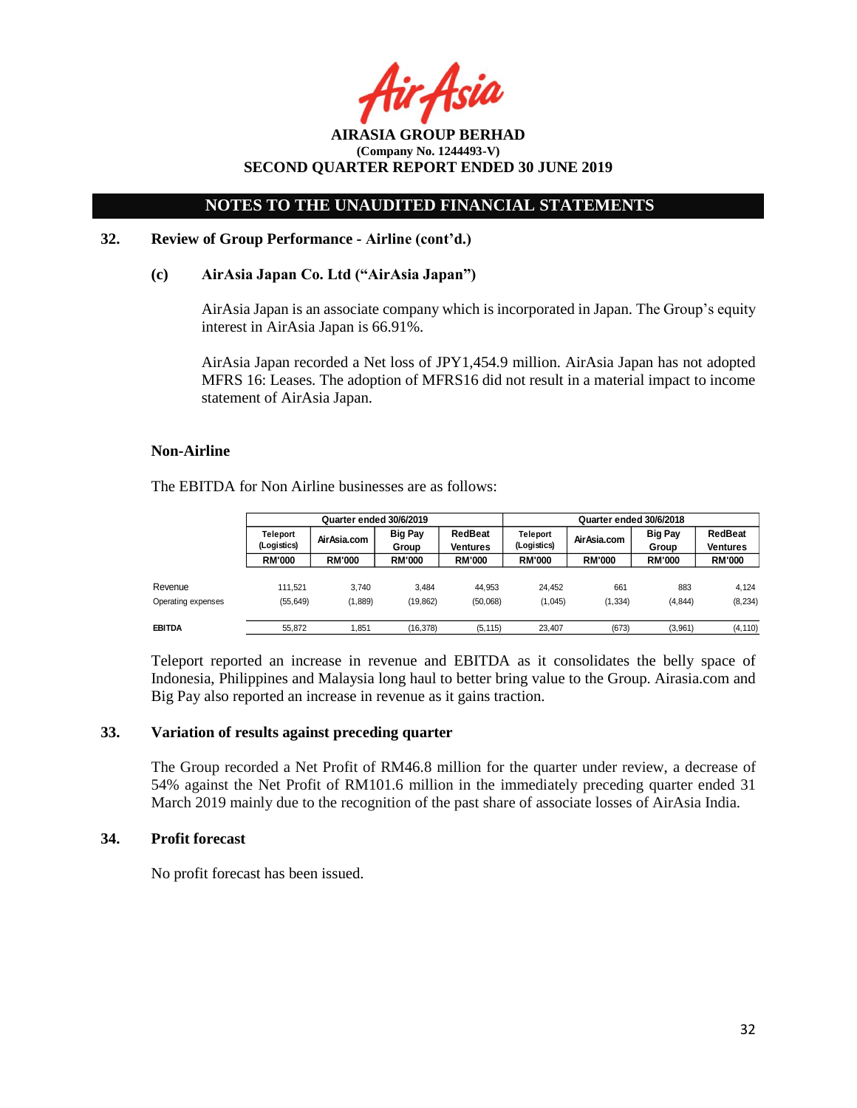Asia

**AIRASIA GROUP BERHAD (Company No. 1244493-V) SECOND QUARTER REPORT ENDED 30 JUNE 2019**

#### **32. Review of Group Performance - Airline (cont'd.)**

#### **(c) AirAsia Japan Co. Ltd ("AirAsia Japan")**

AirAsia Japan is an associate company which is incorporated in Japan. The Group's equity interest in AirAsia Japan is 66.91%.

AirAsia Japan recorded a Net loss of JPY1,454.9 million. AirAsia Japan has not adopted MFRS 16: Leases. The adoption of MFRS16 did not result in a material impact to income statement of AirAsia Japan.

#### **Non-Airline**

The EBITDA for Non Airline businesses are as follows:

|                    | Quarter ended 30/6/2019 |               |                         |                     | Quarter ended 30/6/2018 |               |                         |                            |
|--------------------|-------------------------|---------------|-------------------------|---------------------|-------------------------|---------------|-------------------------|----------------------------|
|                    | Teleport<br>(Logistics) | Air Asia.com  | <b>Big Pay</b><br>Group | RedBeat<br>Ventures | Teleport<br>(Logistics) | Air Asia.com  | <b>Big Pay</b><br>Group | RedBeat<br><b>Ventures</b> |
|                    | <b>RM'000</b>           | <b>RM'000</b> | <b>RM'000</b>           | <b>RM'000</b>       | <b>RM'000</b>           | <b>RM'000</b> | <b>RM'000</b>           | <b>RM'000</b>              |
| Revenue            | 111.521                 | 3.740         | 3.484                   | 44.953              | 24.452                  | 661           | 883                     | 4.124                      |
| Operating expenses | (55, 649)               | (1,889)       | (19, 862)               | (50,068)            | (1,045)                 | (1, 334)      | (4, 844)                | (8, 234)                   |
| EBITDA             | 55.872                  | 851ء،         | (16.378)                | (5, 115)            | 23.407                  | (673)         | (3,961)                 | (4, 110)                   |

Teleport reported an increase in revenue and EBITDA as it consolidates the belly space of Indonesia, Philippines and Malaysia long haul to better bring value to the Group. Airasia.com and Big Pay also reported an increase in revenue as it gains traction.

#### **33. Variation of results against preceding quarter**

The Group recorded a Net Profit of RM46.8 million for the quarter under review, a decrease of 54% against the Net Profit of RM101.6 million in the immediately preceding quarter ended 31 March 2019 mainly due to the recognition of the past share of associate losses of AirAsia India.

#### **34. Profit forecast**

No profit forecast has been issued.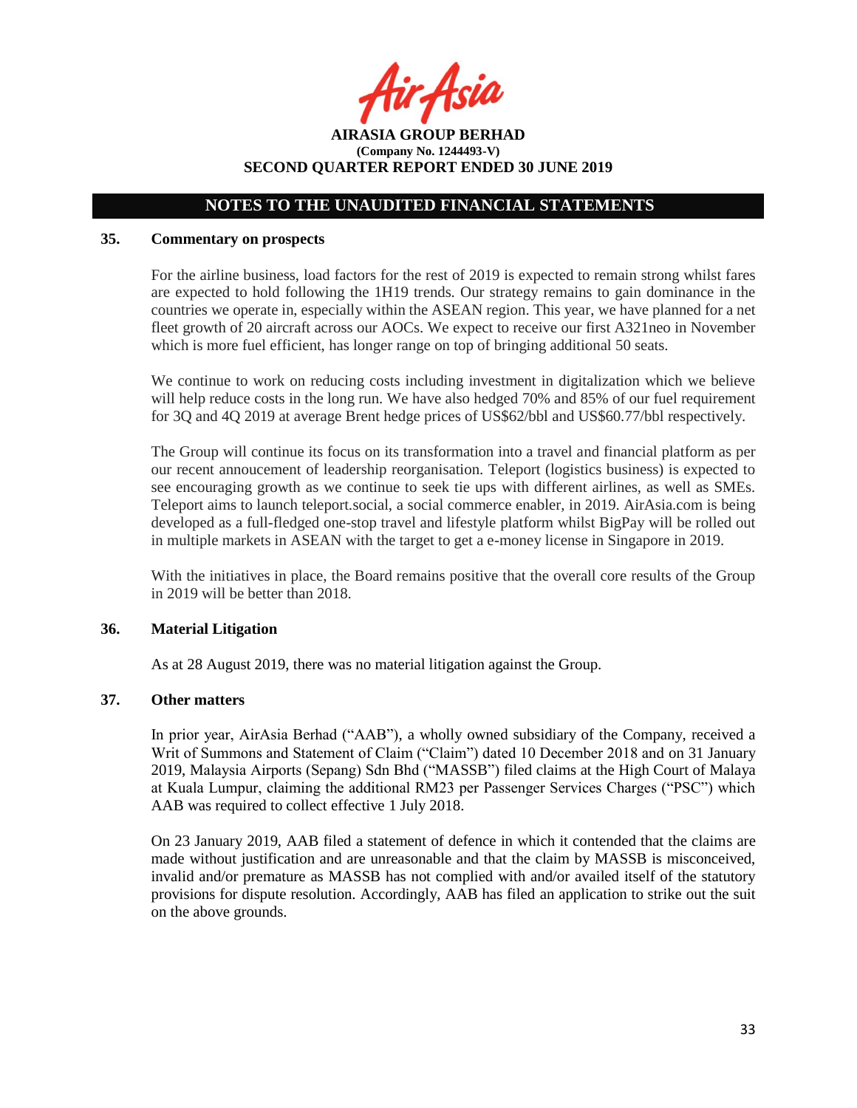r Asia

**AIRASIA GROUP BERHAD (Company No. 1244493-V) SECOND QUARTER REPORT ENDED 30 JUNE 2019**

### **35. Commentary on prospects**

For the airline business, load factors for the rest of 2019 is expected to remain strong whilst fares are expected to hold following the 1H19 trends. Our strategy remains to gain dominance in the countries we operate in, especially within the ASEAN region. This year, we have planned for a net fleet growth of 20 aircraft across our AOCs. We expect to receive our first A321neo in November which is more fuel efficient, has longer range on top of bringing additional 50 seats.

We continue to work on reducing costs including investment in digitalization which we believe will help reduce costs in the long run. We have also hedged 70% and 85% of our fuel requirement for 3Q and 4Q 2019 at average Brent hedge prices of US\$62/bbl and US\$60.77/bbl respectively.

The Group will continue its focus on its transformation into a travel and financial platform as per our recent annoucement of leadership reorganisation. Teleport (logistics business) is expected to see encouraging growth as we continue to seek tie ups with different airlines, as well as SMEs. Teleport aims to launch teleport.social, a social commerce enabler, in 2019. AirAsia.com is being developed as a full-fledged one-stop travel and lifestyle platform whilst BigPay will be rolled out in multiple markets in ASEAN with the target to get a e-money license in Singapore in 2019.

With the initiatives in place, the Board remains positive that the overall core results of the Group in 2019 will be better than 2018.

#### **36. Material Litigation**

As at 28 August 2019, there was no material litigation against the Group.

### **37. Other matters**

In prior year, AirAsia Berhad ("AAB"), a wholly owned subsidiary of the Company, received a Writ of Summons and Statement of Claim ("Claim") dated 10 December 2018 and on 31 January 2019, Malaysia Airports (Sepang) Sdn Bhd ("MASSB") filed claims at the High Court of Malaya at Kuala Lumpur, claiming the additional RM23 per Passenger Services Charges ("PSC") which AAB was required to collect effective 1 July 2018.

On 23 January 2019, AAB filed a statement of defence in which it contended that the claims are made without justification and are unreasonable and that the claim by MASSB is misconceived, invalid and/or premature as MASSB has not complied with and/or availed itself of the statutory provisions for dispute resolution. Accordingly, AAB has filed an application to strike out the suit on the above grounds.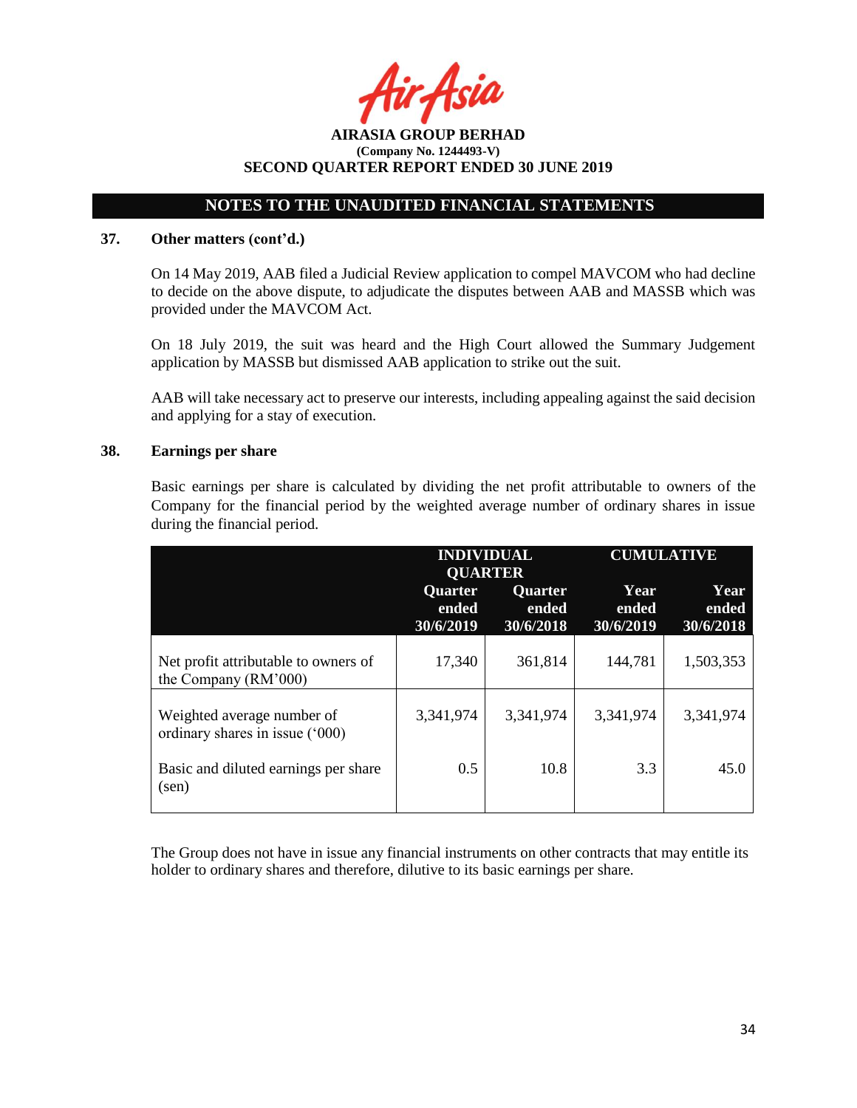## **NOTES TO THE UNAUDITED FINANCIAL STATEMENTS**

### **37. Other matters (cont'd.)**

On 14 May 2019, AAB filed a Judicial Review application to compel MAVCOM who had decline to decide on the above dispute, to adjudicate the disputes between AAB and MASSB which was provided under the MAVCOM Act.

On 18 July 2019, the suit was heard and the High Court allowed the Summary Judgement application by MASSB but dismissed AAB application to strike out the suit.

AAB will take necessary act to preserve our interests, including appealing against the said decision and applying for a stay of execution.

### **38. Earnings per share**

Basic earnings per share is calculated by dividing the net profit attributable to owners of the Company for the financial period by the weighted average number of ordinary shares in issue during the financial period.

|                                                               | <b>INDIVIDUAL</b><br><b>QUARTER</b> |                               | <b>CUMULATIVE</b>          |                            |  |
|---------------------------------------------------------------|-------------------------------------|-------------------------------|----------------------------|----------------------------|--|
|                                                               | Quarter<br>ended<br>30/6/2019       | Quarter<br>ended<br>30/6/2018 | Year<br>ended<br>30/6/2019 | Year<br>ended<br>30/6/2018 |  |
| Net profit attributable to owners of<br>the Company (RM'000)  | 17,340                              | 361,814                       | 144,781                    | 1,503,353                  |  |
| Weighted average number of<br>ordinary shares in issue ('000) | 3,341,974                           | 3,341,974                     | 3,341,974                  | 3,341,974                  |  |
| Basic and diluted earnings per share<br>(sen)                 | 0.5                                 | 10.8                          | 3.3                        | 45.0                       |  |

The Group does not have in issue any financial instruments on other contracts that may entitle its holder to ordinary shares and therefore, dilutive to its basic earnings per share.